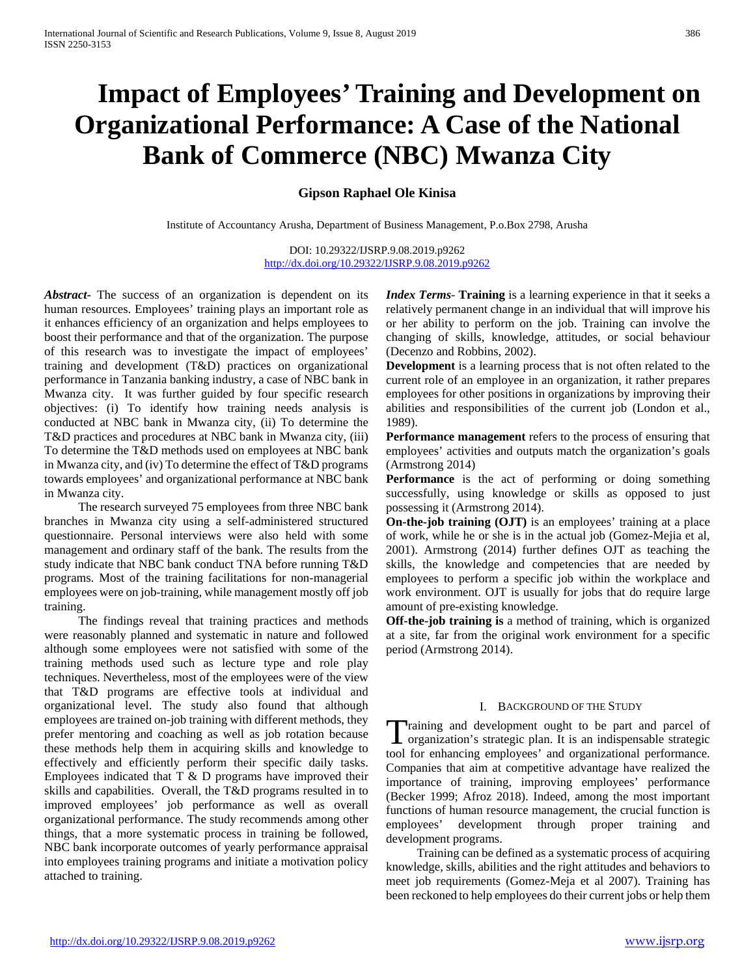# **Impact of Employees' Training and Development on Organizational Performance: A Case of the National Bank of Commerce (NBC) Mwanza City**

**Gipson Raphael Ole Kinisa** 

Institute of Accountancy Arusha, Department of Business Management, P.o.Box 2798, Arusha

DOI: 10.29322/IJSRP.9.08.2019.p9262 <http://dx.doi.org/10.29322/IJSRP.9.08.2019.p9262>

*Abstract***-** The success of an organization is dependent on its human resources. Employees' training plays an important role as it enhances efficiency of an organization and helps employees to boost their performance and that of the organization. The purpose of this research was to investigate the impact of employees' training and development (T&D) practices on organizational performance in Tanzania banking industry, a case of NBC bank in Mwanza city. It was further guided by four specific research objectives: (i) To identify how training needs analysis is conducted at NBC bank in Mwanza city, (ii) To determine the T&D practices and procedures at NBC bank in Mwanza city, (iii) To determine the T&D methods used on employees at NBC bank in Mwanza city, and (iv) To determine the effect of T&D programs towards employees' and organizational performance at NBC bank in Mwanza city.

 The research surveyed 75 employees from three NBC bank branches in Mwanza city using a self-administered structured questionnaire. Personal interviews were also held with some management and ordinary staff of the bank. The results from the study indicate that NBC bank conduct TNA before running T&D programs. Most of the training facilitations for non-managerial employees were on job-training, while management mostly off job training.

 The findings reveal that training practices and methods were reasonably planned and systematic in nature and followed although some employees were not satisfied with some of the training methods used such as lecture type and role play techniques. Nevertheless, most of the employees were of the view that T&D programs are effective tools at individual and organizational level. The study also found that although employees are trained on-job training with different methods, they prefer mentoring and coaching as well as job rotation because these methods help them in acquiring skills and knowledge to effectively and efficiently perform their specific daily tasks. Employees indicated that  $T \& D$  programs have improved their skills and capabilities. Overall, the T&D programs resulted in to improved employees' job performance as well as overall organizational performance. The study recommends among other things, that a more systematic process in training be followed, NBC bank incorporate outcomes of yearly performance appraisal into employees training programs and initiate a motivation policy attached to training.

*Index Terms*- **Training** is a learning experience in that it seeks a relatively permanent change in an individual that will improve his or her ability to perform on the job. Training can involve the changing of skills, knowledge, attitudes, or social behaviour (Decenzo and Robbins, 2002).

**Development** is a learning process that is not often related to the current role of an employee in an organization, it rather prepares employees for other positions in organizations by improving their abilities and responsibilities of the current job (London et al., 1989).

**Performance management** refers to the process of ensuring that employees' activities and outputs match the organization's goals (Armstrong 2014)

**Performance** is the act of performing or doing something successfully, using knowledge or skills as opposed to just possessing it (Armstrong 2014).

**On-the-job training (OJT)** is an employees' training at a place of work, while he or she is in the actual job (Gomez-Mejia et al, 2001). Armstrong (2014) further defines OJT as teaching the skills, the knowledge and competencies that are needed by employees to perform a specific job within the workplace and work environment. OJT is usually for jobs that do require large amount of pre-existing knowledge.

**Off-the-job training is** a method of training, which is organized at a site, far from the original work environment for a specific period (Armstrong 2014).

#### I. BACKGROUND OF THE STUDY

Training and development ought to be part and parcel of organization's strategic plan. It is an indispensable strategic  $\blacktriangle$  organization's strategic plan. It is an indispensable strategic tool for enhancing employees' and organizational performance. Companies that aim at competitive advantage have realized the importance of training, improving employees' performance (Becker 1999; Afroz 2018). Indeed, among the most important functions of human resource management, the crucial function is employees' development through proper training and development programs.

 Training can be defined as a systematic process of acquiring knowledge, skills, abilities and the right attitudes and behaviors to meet job requirements (Gomez-Meja et al 2007). Training has been reckoned to help employees do their current jobs or help them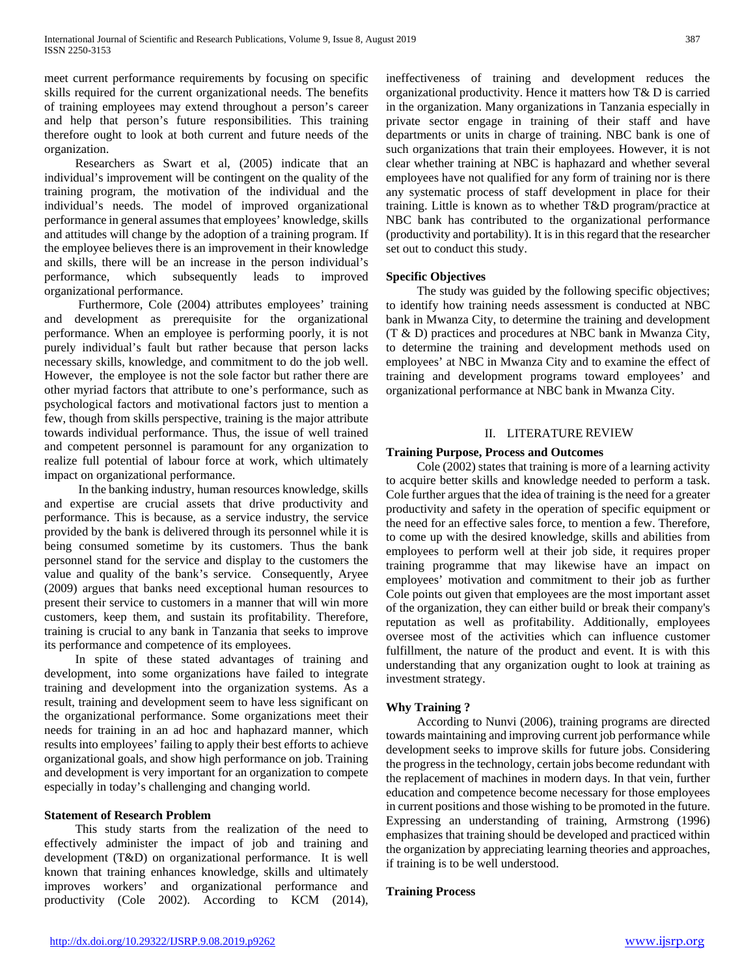meet current performance requirements by focusing on specific skills required for the current organizational needs. The benefits of training employees may extend throughout a person's career and help that person's future responsibilities. This training therefore ought to look at both current and future needs of the organization.

 Researchers as Swart et al, (2005) indicate that an individual's improvement will be contingent on the quality of the training program, the motivation of the individual and the individual's needs. The model of improved organizational performance in general assumes that employees' knowledge, skills and attitudes will change by the adoption of a training program. If the employee believes there is an improvement in their knowledge and skills, there will be an increase in the person individual's performance, which subsequently leads to improved organizational performance.

 Furthermore, Cole (2004) attributes employees' training and development as prerequisite for the organizational performance. When an employee is performing poorly, it is not purely individual's fault but rather because that person lacks necessary skills, knowledge, and commitment to do the job well. However, the employee is not the sole factor but rather there are other myriad factors that attribute to one's performance, such as psychological factors and motivational factors just to mention a few, though from skills perspective, training is the major attribute towards individual performance. Thus, the issue of well trained and competent personnel is paramount for any organization to realize full potential of labour force at work, which ultimately impact on organizational performance.

 In the banking industry, human resources knowledge, skills and expertise are crucial assets that drive productivity and performance. This is because, as a service industry, the service provided by the bank is delivered through its personnel while it is being consumed sometime by its customers. Thus the bank personnel stand for the service and display to the customers the value and quality of the bank's service. Consequently, Aryee (2009) argues that banks need exceptional human resources to present their service to customers in a manner that will win more customers, keep them, and sustain its profitability. Therefore, training is crucial to any bank in Tanzania that seeks to improve its performance and competence of its employees.

 In spite of these stated advantages of training and development, into some organizations have failed to integrate training and development into the organization systems. As a result, training and development seem to have less significant on the organizational performance. Some organizations meet their needs for training in an ad hoc and haphazard manner, which results into employees' failing to apply their best efforts to achieve organizational goals, and show high performance on job. Training and development is very important for an organization to compete especially in today's challenging and changing world.

#### **Statement of Research Problem**

 This study starts from the realization of the need to effectively administer the impact of job and training and development (T&D) on organizational performance. It is well known that training enhances knowledge, skills and ultimately improves workers' and organizational performance and productivity (Cole 2002). According to KCM (2014),

ineffectiveness of training and development reduces the organizational productivity. Hence it matters how T& D is carried in the organization. Many organizations in Tanzania especially in private sector engage in training of their staff and have departments or units in charge of training. NBC bank is one of such organizations that train their employees. However, it is not clear whether training at NBC is haphazard and whether several employees have not qualified for any form of training nor is there any systematic process of staff development in place for their training. Little is known as to whether T&D program/practice at NBC bank has contributed to the organizational performance (productivity and portability). It is in this regard that the researcher set out to conduct this study.

#### **Specific Objectives**

 The study was guided by the following specific objectives; to identify how training needs assessment is conducted at NBC bank in Mwanza City, to determine the training and development (T & D) practices and procedures at NBC bank in Mwanza City, to determine the training and development methods used on employees' at NBC in Mwanza City and to examine the effect of training and development programs toward employees' and organizational performance at NBC bank in Mwanza City.

#### II. LITERATURE REVIEW

#### **Training Purpose, Process and Outcomes**

 Cole (2002) states that training is more of a learning activity to acquire better skills and knowledge needed to perform a task. Cole further argues that the idea of training is the need for a greater productivity and safety in the operation of specific equipment or the need for an effective sales force, to mention a few. Therefore, to come up with the desired knowledge, skills and abilities from employees to perform well at their job side, it requires proper training programme that may likewise have an impact on employees' motivation and commitment to their job as further Cole points out given that employees are the most important asset of the organization, they can either build or break their company's reputation as well as profitability. Additionally, employees oversee most of the activities which can influence customer fulfillment, the nature of the product and event. It is with this understanding that any organization ought to look at training as investment strategy.

# **Why Training ?**

 According to Nunvi (2006), training programs are directed towards maintaining and improving current job performance while development seeks to improve skills for future jobs. Considering the progress in the technology, certain jobs become redundant with the replacement of machines in modern days. In that vein, further education and competence become necessary for those employees in current positions and those wishing to be promoted in the future. Expressing an understanding of training, Armstrong (1996) emphasizes that training should be developed and practiced within the organization by appreciating learning theories and approaches, if training is to be well understood.

#### **Training Process**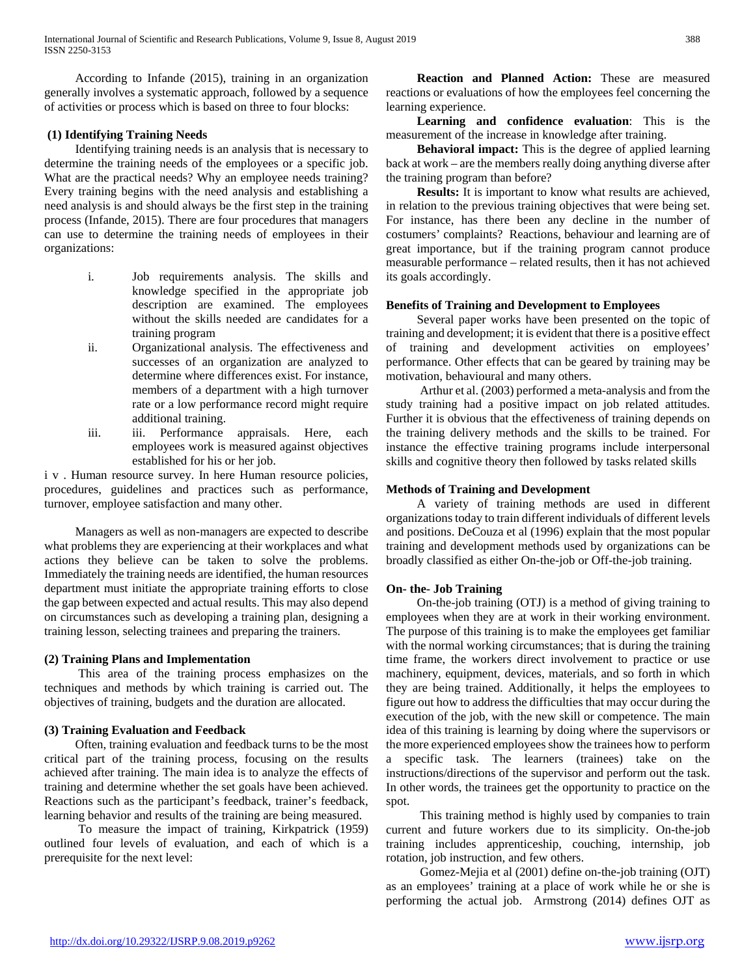According to Infande (2015), training in an organization generally involves a systematic approach, followed by a sequence of activities or process which is based on three to four blocks:

#### **(1) Identifying Training Needs**

 Identifying training needs is an analysis that is necessary to determine the training needs of the employees or a specific job. What are the practical needs? Why an employee needs training? Every training begins with the need analysis and establishing a need analysis is and should always be the first step in the training process (Infande, 2015). There are four procedures that managers can use to determine the training needs of employees in their organizations:

- i. Job requirements analysis. The skills and knowledge specified in the appropriate job description are examined. The employees without the skills needed are candidates for a training program
- ii. Organizational analysis. The effectiveness and successes of an organization are analyzed to determine where differences exist. For instance, members of a department with a high turnover rate or a low performance record might require additional training.
- iii. iii. Performance appraisals. Here, each employees work is measured against objectives established for his or her job.

i v . Human resource survey. In here Human resource policies, procedures, guidelines and practices such as performance, turnover, employee satisfaction and many other.

 Managers as well as non-managers are expected to describe what problems they are experiencing at their workplaces and what actions they believe can be taken to solve the problems. Immediately the training needs are identified, the human resources department must initiate the appropriate training efforts to close the gap between expected and actual results. This may also depend on circumstances such as developing a training plan, designing a training lesson, selecting trainees and preparing the trainers.

#### **(2) Training Plans and Implementation**

 This area of the training process emphasizes on the techniques and methods by which training is carried out. The objectives of training, budgets and the duration are allocated.

# **(3) Training Evaluation and Feedback**

 Often, training evaluation and feedback turns to be the most critical part of the training process, focusing on the results achieved after training. The main idea is to analyze the effects of training and determine whether the set goals have been achieved. Reactions such as the participant's feedback, trainer's feedback, learning behavior and results of the training are being measured.

 To measure the impact of training, Kirkpatrick (1959) outlined four levels of evaluation, and each of which is a prerequisite for the next level:

 **Reaction and Planned Action:** These are measured reactions or evaluations of how the employees feel concerning the learning experience.

 **Learning and confidence evaluation**: This is the measurement of the increase in knowledge after training.

 **Behavioral impact:** This is the degree of applied learning back at work – are the members really doing anything diverse after the training program than before?

 **Results:** It is important to know what results are achieved, in relation to the previous training objectives that were being set. For instance, has there been any decline in the number of costumers' complaints? Reactions, behaviour and learning are of great importance, but if the training program cannot produce measurable performance – related results, then it has not achieved its goals accordingly.

# **Benefits of Training and Development to Employees**

 Several paper works have been presented on the topic of training and development; it is evident that there is a positive effect of training and development activities on employees' performance. Other effects that can be geared by training may be motivation, behavioural and many others.

 Arthur et al. (2003) performed a meta-analysis and from the study training had a positive impact on job related attitudes. Further it is obvious that the effectiveness of training depends on the training delivery methods and the skills to be trained. For instance the effective training programs include interpersonal skills and cognitive theory then followed by tasks related skills

#### **Methods of Training and Development**

 A variety of training methods are used in different organizations today to train different individuals of different levels and positions. DeCouza et al (1996) explain that the most popular training and development methods used by organizations can be broadly classified as either On-the-job or Off-the-job training.

# **On- the- Job Training**

 On-the-job training (OTJ) is a method of giving training to employees when they are at work in their working environment. The purpose of this training is to make the employees get familiar with the normal working circumstances; that is during the training time frame, the workers direct involvement to practice or use machinery, equipment, devices, materials, and so forth in which they are being trained. Additionally, it helps the employees to figure out how to address the difficulties that may occur during the execution of the job, with the new skill or competence. The main idea of this training is learning by doing where the supervisors or the more experienced employees show the trainees how to perform a specific task. The learners (trainees) take on the instructions/directions of the supervisor and perform out the task. In other words, the trainees get the opportunity to practice on the spot.

 This training method is highly used by companies to train current and future workers due to its simplicity. On-the-job training includes apprenticeship, couching, internship, job rotation, job instruction, and few others.

 Gomez-Mejia et al (2001) define on-the-job training (OJT) as an employees' training at a place of work while he or she is performing the actual job. Armstrong (2014) defines OJT as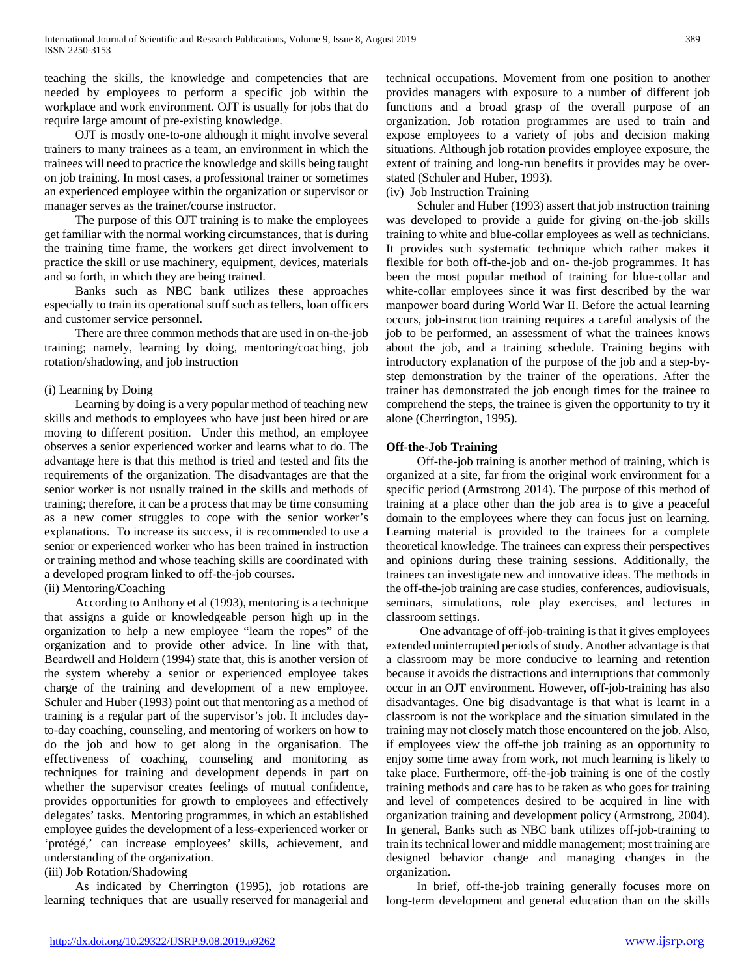teaching the skills, the knowledge and competencies that are needed by employees to perform a specific job within the workplace and work environment. OJT is usually for jobs that do require large amount of pre-existing knowledge.

 OJT is mostly one-to-one although it might involve several trainers to many trainees as a team, an environment in which the trainees will need to practice the knowledge and skills being taught on job training. In most cases, a professional trainer or sometimes an experienced employee within the organization or supervisor or manager serves as the trainer/course instructor.

 The purpose of this OJT training is to make the employees get familiar with the normal working circumstances, that is during the training time frame, the workers get direct involvement to practice the skill or use machinery, equipment, devices, materials and so forth, in which they are being trained.

 Banks such as NBC bank utilizes these approaches especially to train its operational stuff such as tellers, loan officers and customer service personnel.

 There are three common methods that are used in on-the-job training; namely, learning by doing, mentoring/coaching, job rotation/shadowing, and job instruction

# (i) Learning by Doing

 Learning by doing is a very popular method of teaching new skills and methods to employees who have just been hired or are moving to different position. Under this method, an employee observes a senior experienced worker and learns what to do. The advantage here is that this method is tried and tested and fits the requirements of the organization. The disadvantages are that the senior worker is not usually trained in the skills and methods of training; therefore, it can be a process that may be time consuming as a new comer struggles to cope with the senior worker's explanations. To increase its success, it is recommended to use a senior or experienced worker who has been trained in instruction or training method and whose teaching skills are coordinated with a developed program linked to off-the-job courses.

(ii) Mentoring/Coaching

 According to Anthony et al (1993), mentoring is a technique that assigns a guide or knowledgeable person high up in the organization to help a new employee "learn the ropes" of the organization and to provide other advice. In line with that, Beardwell and Holdern (1994) state that, this is another version of the system whereby a senior or experienced employee takes charge of the training and development of a new employee. Schuler and Huber (1993) point out that mentoring as a method of training is a regular part of the supervisor's job. It includes dayto-day coaching, counseling, and mentoring of workers on how to do the job and how to get along in the organisation. The effectiveness of coaching, counseling and monitoring as techniques for training and development depends in part on whether the supervisor creates feelings of mutual confidence, provides opportunities for growth to employees and effectively delegates' tasks. Mentoring programmes, in which an established employee guides the development of a less-experienced worker or 'protégé,' can increase employees' skills, achievement, and understanding of the organization.

# (iii) Job Rotation/Shadowing

 As indicated by Cherrington (1995), job rotations are learning techniques that are usually reserved for managerial and

technical occupations. Movement from one position to another provides managers with exposure to a number of different job functions and a broad grasp of the overall purpose of an organization. Job rotation programmes are used to train and expose employees to a variety of jobs and decision making situations. Although job rotation provides employee exposure, the extent of training and long-run benefits it provides may be overstated (Schuler and Huber, 1993).

(iv) Job Instruction Training

 Schuler and Huber (1993) assert that job instruction training was developed to provide a guide for giving on-the-job skills training to white and blue-collar employees as well as technicians. It provides such systematic technique which rather makes it flexible for both off-the-job and on- the-job programmes. It has been the most popular method of training for blue-collar and white-collar employees since it was first described by the war manpower board during World War II. Before the actual learning occurs, job-instruction training requires a careful analysis of the job to be performed, an assessment of what the trainees knows about the job, and a training schedule. Training begins with introductory explanation of the purpose of the job and a step-bystep demonstration by the trainer of the operations. After the trainer has demonstrated the job enough times for the trainee to comprehend the steps, the trainee is given the opportunity to try it alone (Cherrington, 1995).

# **Off-the-Job Training**

 Off-the-job training is another method of training, which is organized at a site, far from the original work environment for a specific period (Armstrong 2014). The purpose of this method of training at a place other than the job area is to give a peaceful domain to the employees where they can focus just on learning. Learning material is provided to the trainees for a complete theoretical knowledge. The trainees can express their perspectives and opinions during these training sessions. Additionally, the trainees can investigate new and innovative ideas. The methods in the off-the-job training are case studies, conferences, audiovisuals, seminars, simulations, role play exercises, and lectures in classroom settings.

 One advantage of off-job-training is that it gives employees extended uninterrupted periods of study. Another advantage is that a classroom may be more conducive to learning and retention because it avoids the distractions and interruptions that commonly occur in an OJT environment. However, off-job-training has also disadvantages. One big disadvantage is that what is learnt in a classroom is not the workplace and the situation simulated in the training may not closely match those encountered on the job. Also, if employees view the off-the job training as an opportunity to enjoy some time away from work, not much learning is likely to take place. Furthermore, off-the-job training is one of the costly training methods and care has to be taken as who goes for training and level of competences desired to be acquired in line with organization training and development policy (Armstrong, 2004). In general, Banks such as NBC bank utilizes off-job-training to train its technical lower and middle management; most training are designed behavior change and managing changes in the organization.

 In brief, off-the-job training generally focuses more on long-term development and general education than on the skills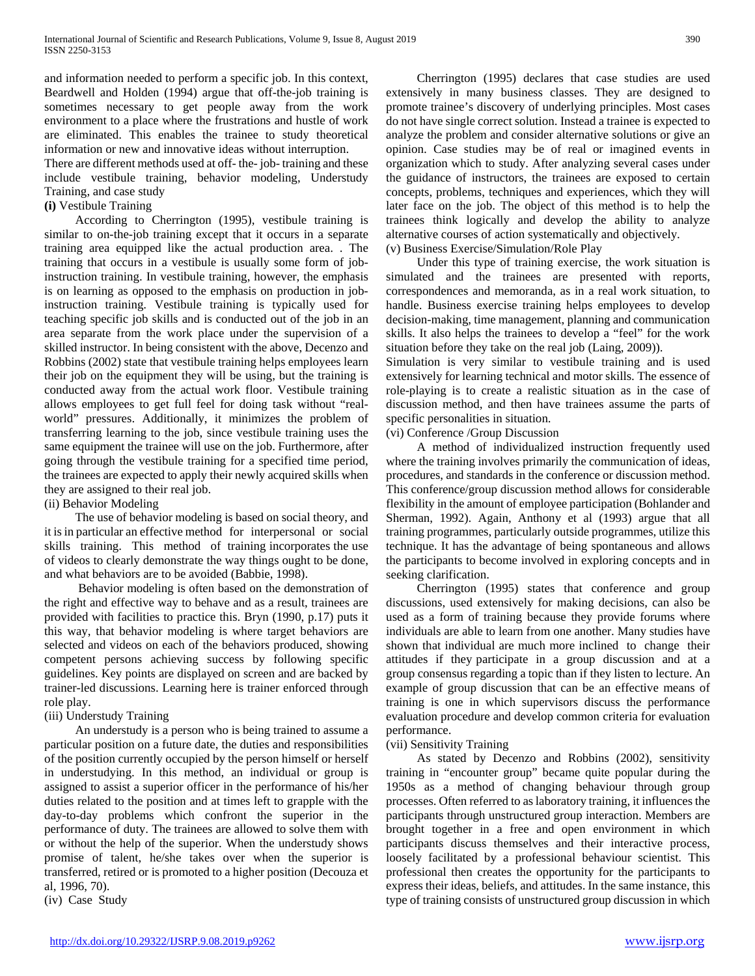and information needed to perform a specific job. In this context, Beardwell and Holden (1994) argue that off-the-job training is sometimes necessary to get people away from the work environment to a place where the frustrations and hustle of work are eliminated. This enables the trainee to study theoretical information or new and innovative ideas without interruption.

There are different methods used at off- the- job- training and these include vestibule training, behavior modeling, Understudy Training, and case study

#### **(i)** Vestibule Training

 According to Cherrington (1995), vestibule training is similar to on-the-job training except that it occurs in a separate training area equipped like the actual production area. . The training that occurs in a vestibule is usually some form of jobinstruction training. In vestibule training, however, the emphasis is on learning as opposed to the emphasis on production in jobinstruction training. Vestibule training is typically used for teaching specific job skills and is conducted out of the job in an area separate from the work place under the supervision of a skilled instructor. In being consistent with the above, Decenzo and Robbins (2002) state that vestibule training helps employees learn their job on the equipment they will be using, but the training is conducted away from the actual work floor. Vestibule training allows employees to get full feel for doing task without "realworld" pressures. Additionally, it minimizes the problem of transferring learning to the job, since vestibule training uses the same equipment the trainee will use on the job. Furthermore, after going through the vestibule training for a specified time period, the trainees are expected to apply their newly acquired skills when they are assigned to their real job.

(ii) Behavior Modeling

 The use of behavior modeling is based on social theory, and it is in particular an effective method for interpersonal or social skills training. This method of training incorporates the use of videos to clearly demonstrate the way things ought to be done, and what behaviors are to be avoided (Babbie, 1998).

 Behavior modeling is often based on the demonstration of the right and effective way to behave and as a result, trainees are provided with facilities to practice this. Bryn (1990, p.17) puts it this way, that behavior modeling is where target behaviors are selected and videos on each of the behaviors produced, showing competent persons achieving success by following specific guidelines. Key points are displayed on screen and are backed by trainer-led discussions. Learning here is trainer enforced through role play.

# (iii) Understudy Training

 An understudy is a person who is being trained to assume a particular position on a future date, the duties and responsibilities of the position currently occupied by the person himself or herself in understudying. In this method, an individual or group is assigned to assist a superior officer in the performance of his/her duties related to the position and at times left to grapple with the day-to-day problems which confront the superior in the performance of duty. The trainees are allowed to solve them with or without the help of the superior. When the understudy shows promise of talent, he/she takes over when the superior is transferred, retired or is promoted to a higher position (Decouza et al, 1996, 70).

(iv) Case Study

 Cherrington (1995) declares that case studies are used extensively in many business classes. They are designed to promote trainee's discovery of underlying principles. Most cases do not have single correct solution. Instead a trainee is expected to analyze the problem and consider alternative solutions or give an opinion. Case studies may be of real or imagined events in organization which to study. After analyzing several cases under the guidance of instructors, the trainees are exposed to certain concepts, problems, techniques and experiences, which they will later face on the job. The object of this method is to help the trainees think logically and develop the ability to analyze alternative courses of action systematically and objectively. (v) Business Exercise/Simulation/Role Play

 Under this type of training exercise, the work situation is simulated and the trainees are presented with reports, correspondences and memoranda, as in a real work situation, to handle. Business exercise training helps employees to develop decision-making, time management, planning and communication skills. It also helps the trainees to develop a "feel" for the work situation before they take on the real job (Laing, 2009)).

Simulation is very similar to vestibule training and is used extensively for learning technical and motor skills. The essence of role-playing is to create a realistic situation as in the case of discussion method, and then have trainees assume the parts of specific personalities in situation.

(vi) Conference /Group Discussion

 A method of individualized instruction frequently used where the training involves primarily the communication of ideas, procedures, and standards in the conference or discussion method. This conference/group discussion method allows for considerable flexibility in the amount of employee participation (Bohlander and Sherman, 1992). Again, Anthony et al (1993) argue that all training programmes, particularly outside programmes, utilize this technique. It has the advantage of being spontaneous and allows the participants to become involved in exploring concepts and in seeking clarification.

 Cherrington (1995) states that conference and group discussions, used extensively for making decisions, can also be used as a form of training because they provide forums where individuals are able to learn from one another. Many studies have shown that individual are much more inclined to change their attitudes if they participate in a group discussion and at a group consensus regarding a topic than if they listen to lecture. An example of group discussion that can be an effective means of training is one in which supervisors discuss the performance evaluation procedure and develop common criteria for evaluation performance.

#### (vii) Sensitivity Training

 As stated by Decenzo and Robbins (2002), sensitivity training in "encounter group" became quite popular during the 1950s as a method of changing behaviour through group processes. Often referred to as laboratory training, it influences the participants through unstructured group interaction. Members are brought together in a free and open environment in which participants discuss themselves and their interactive process, loosely facilitated by a professional behaviour scientist. This professional then creates the opportunity for the participants to express their ideas, beliefs, and attitudes. In the same instance, this type of training consists of unstructured group discussion in which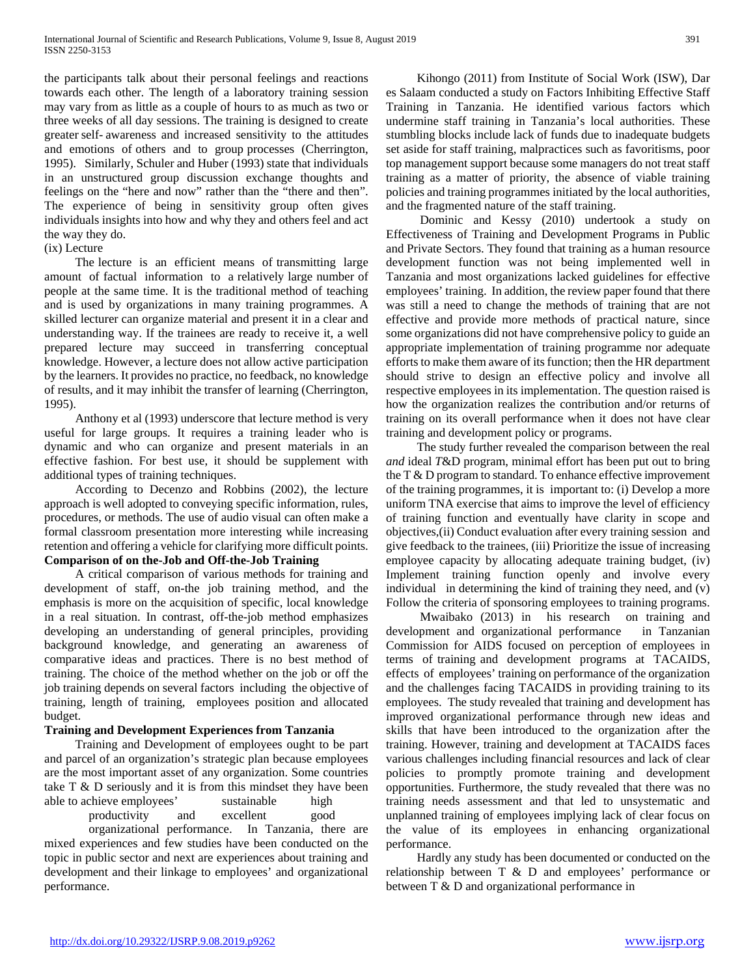the participants talk about their personal feelings and reactions towards each other. The length of a laboratory training session may vary from as little as a couple of hours to as much as two or three weeks of all day sessions. The training is designed to create greater self- awareness and increased sensitivity to the attitudes and emotions of others and to group processes (Cherrington, 1995). Similarly, Schuler and Huber (1993) state that individuals in an unstructured group discussion exchange thoughts and feelings on the "here and now" rather than the "there and then". The experience of being in sensitivity group often gives individuals insights into how and why they and others feel and act the way they do.

#### (ix) Lecture

 The lecture is an efficient means of transmitting large amount of factual information to a relatively large number of people at the same time. It is the traditional method of teaching and is used by organizations in many training programmes. A skilled lecturer can organize material and present it in a clear and understanding way. If the trainees are ready to receive it, a well prepared lecture may succeed in transferring conceptual knowledge. However, a lecture does not allow active participation by the learners. It provides no practice, no feedback, no knowledge of results, and it may inhibit the transfer of learning (Cherrington, 1995).

 Anthony et al (1993) underscore that lecture method is very useful for large groups. It requires a training leader who is dynamic and who can organize and present materials in an effective fashion. For best use, it should be supplement with additional types of training techniques.

 According to Decenzo and Robbins (2002), the lecture approach is well adopted to conveying specific information, rules, procedures, or methods. The use of audio visual can often make a formal classroom presentation more interesting while increasing retention and offering a vehicle for clarifying more difficult points. **Comparison of on the-Job and Off-the-Job Training** 

 A critical comparison of various methods for training and development of staff, on-the job training method, and the emphasis is more on the acquisition of specific, local knowledge in a real situation. In contrast, off-the-job method emphasizes developing an understanding of general principles, providing background knowledge, and generating an awareness of comparative ideas and practices. There is no best method of training. The choice of the method whether on the job or off the job training depends on several factors including the objective of training, length of training, employees position and allocated budget.

# **Training and Development Experiences from Tanzania**

 Training and Development of employees ought to be part and parcel of an organization's strategic plan because employees are the most important asset of any organization. Some countries take T & D seriously and it is from this mindset they have been able to achieve employees' sustainable high productivity and excellent good

organizational performance. In Tanzania, there are mixed experiences and few studies have been conducted on the topic in public sector and next are experiences about training and development and their linkage to employees' and organizational performance.

 Kihongo (2011) from Institute of Social Work (ISW), Dar es Salaam conducted a study on Factors Inhibiting Effective Staff Training in Tanzania. He identified various factors which undermine staff training in Tanzania's local authorities. These stumbling blocks include lack of funds due to inadequate budgets set aside for staff training, malpractices such as favoritisms, poor top management support because some managers do not treat staff training as a matter of priority, the absence of viable training policies and training programmes initiated by the local authorities, and the fragmented nature of the staff training.

 Dominic and Kessy (2010) undertook a study on Effectiveness of Training and Development Programs in Public and Private Sectors. They found that training as a human resource development function was not being implemented well in Tanzania and most organizations lacked guidelines for effective employees' training. In addition, the review paper found that there was still a need to change the methods of training that are not effective and provide more methods of practical nature, since some organizations did not have comprehensive policy to guide an appropriate implementation of training programme nor adequate efforts to make them aware of its function; then the HR department should strive to design an effective policy and involve all respective employees in its implementation. The question raised is how the organization realizes the contribution and/or returns of training on its overall performance when it does not have clear training and development policy or programs.

 The study further revealed the comparison between the real *and* ideal *T*&D program, minimal effort has been put out to bring the T & D program to standard. To enhance effective improvement of the training programmes, it is important to: (i) Develop a more uniform TNA exercise that aims to improve the level of efficiency of training function and eventually have clarity in scope and objectives,(ii) Conduct evaluation after every training session and give feedback to the trainees, (iii) Prioritize the issue of increasing employee capacity by allocating adequate training budget, (iv) Implement training function openly and involve every individual in determining the kind of training they need, and (v) Follow the criteria of sponsoring employees to training programs.

 Mwaibako (2013) in his research on training and development and organizational performance in Tanzanian Commission for AIDS focused on perception of employees in terms of training and development programs at TACAIDS, effects of employees' training on performance of the organization and the challenges facing TACAIDS in providing training to its employees. The study revealed that training and development has improved organizational performance through new ideas and skills that have been introduced to the organization after the training. However, training and development at TACAIDS faces various challenges including financial resources and lack of clear policies to promptly promote training and development opportunities. Furthermore, the study revealed that there was no training needs assessment and that led to unsystematic and unplanned training of employees implying lack of clear focus on the value of its employees in enhancing organizational performance.

 Hardly any study has been documented or conducted on the relationship between T & D and employees' performance or between T & D and organizational performance in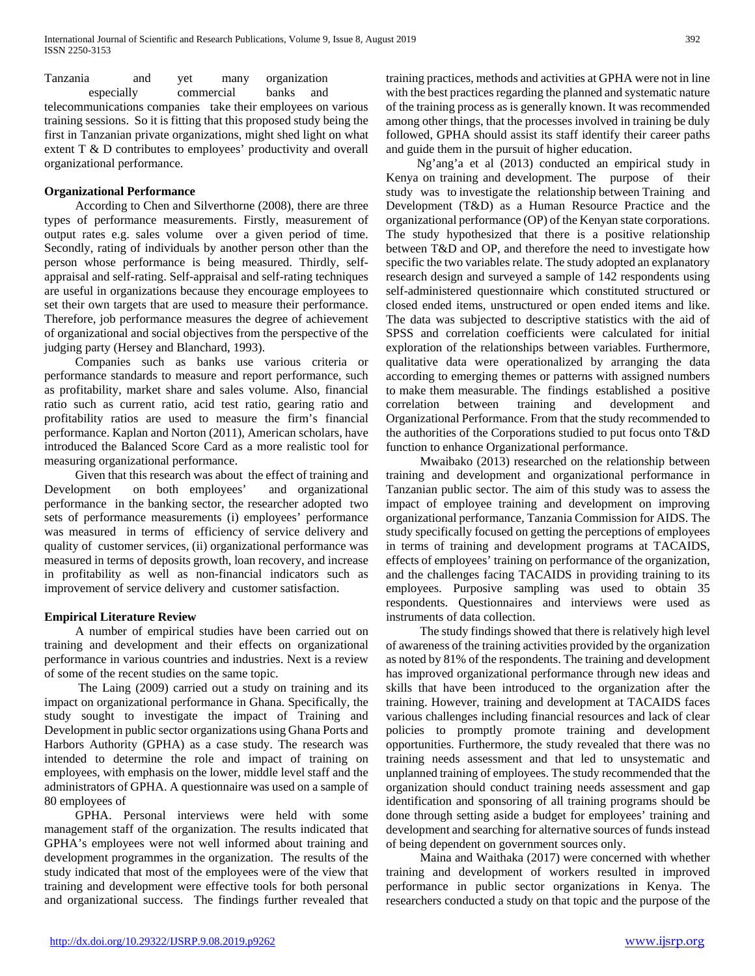Tanzania and yet many organization especially commercial banks and

telecommunications companies take their employees on various training sessions. So it is fitting that this proposed study being the first in Tanzanian private organizations, might shed light on what extent T & D contributes to employees' productivity and overall organizational performance.

#### **Organizational Performance**

 According to Chen and Silverthorne (2008), there are three types of performance measurements. Firstly, measurement of output rates e.g. sales volume over a given period of time. Secondly, rating of individuals by another person other than the person whose performance is being measured. Thirdly, selfappraisal and self-rating. Self-appraisal and self-rating techniques are useful in organizations because they encourage employees to set their own targets that are used to measure their performance. Therefore, job performance measures the degree of achievement of organizational and social objectives from the perspective of the judging party (Hersey and Blanchard, 1993).

 Companies such as banks use various criteria or performance standards to measure and report performance, such as profitability, market share and sales volume. Also, financial ratio such as current ratio, acid test ratio, gearing ratio and profitability ratios are used to measure the firm's financial performance. Kaplan and Norton (2011), American scholars, have introduced the Balanced Score Card as a more realistic tool for measuring organizational performance.

 Given that this research was about the effect of training and Development on both employees' and organizational performance in the banking sector, the researcher adopted two sets of performance measurements (i) employees' performance was measured in terms of efficiency of service delivery and quality of customer services, (ii) organizational performance was measured in terms of deposits growth, loan recovery, and increase in profitability as well as non-financial indicators such as improvement of service delivery and customer satisfaction.

# **Empirical Literature Review**

 A number of empirical studies have been carried out on training and development and their effects on organizational performance in various countries and industries. Next is a review of some of the recent studies on the same topic.

 The Laing (2009) carried out a study on training and its impact on organizational performance in Ghana. Specifically, the study sought to investigate the impact of Training and Development in public sector organizations using Ghana Ports and Harbors Authority (GPHA) as a case study. The research was intended to determine the role and impact of training on employees, with emphasis on the lower, middle level staff and the administrators of GPHA. A questionnaire was used on a sample of 80 employees of

 GPHA. Personal interviews were held with some management staff of the organization. The results indicated that GPHA's employees were not well informed about training and development programmes in the organization. The results of the study indicated that most of the employees were of the view that training and development were effective tools for both personal and organizational success. The findings further revealed that training practices, methods and activities at GPHA were not in line with the best practices regarding the planned and systematic nature of the training process as is generally known. It was recommended among other things, that the processes involved in training be duly followed, GPHA should assist its staff identify their career paths and guide them in the pursuit of higher education.

 Ng'ang'a et al (2013) conducted an empirical study in Kenya on training and development. The purpose of their study was to investigate the relationship between Training and Development (T&D) as a Human Resource Practice and the organizational performance (OP) of the Kenyan state corporations. The study hypothesized that there is a positive relationship between T&D and OP, and therefore the need to investigate how specific the two variables relate. The study adopted an explanatory research design and surveyed a sample of 142 respondents using self-administered questionnaire which constituted structured or closed ended items, unstructured or open ended items and like. The data was subjected to descriptive statistics with the aid of SPSS and correlation coefficients were calculated for initial exploration of the relationships between variables. Furthermore, qualitative data were operationalized by arranging the data according to emerging themes or patterns with assigned numbers to make them measurable. The findings established a positive correlation between training and development and Organizational Performance. From that the study recommended to the authorities of the Corporations studied to put focus onto T&D function to enhance Organizational performance.

 Mwaibako (2013) researched on the relationship between training and development and organizational performance in Tanzanian public sector. The aim of this study was to assess the impact of employee training and development on improving organizational performance, Tanzania Commission for AIDS. The study specifically focused on getting the perceptions of employees in terms of training and development programs at TACAIDS, effects of employees' training on performance of the organization, and the challenges facing TACAIDS in providing training to its employees. Purposive sampling was used to obtain 35 respondents. Questionnaires and interviews were used as instruments of data collection.

 The study findings showed that there is relatively high level of awareness of the training activities provided by the organization as noted by 81% of the respondents. The training and development has improved organizational performance through new ideas and skills that have been introduced to the organization after the training. However, training and development at TACAIDS faces various challenges including financial resources and lack of clear policies to promptly promote training and development opportunities. Furthermore, the study revealed that there was no training needs assessment and that led to unsystematic and unplanned training of employees. The study recommended that the organization should conduct training needs assessment and gap identification and sponsoring of all training programs should be done through setting aside a budget for employees' training and development and searching for alternative sources of funds instead of being dependent on government sources only.

 Maina and Waithaka (2017) were concerned with whether training and development of workers resulted in improved performance in public sector organizations in Kenya. The researchers conducted a study on that topic and the purpose of the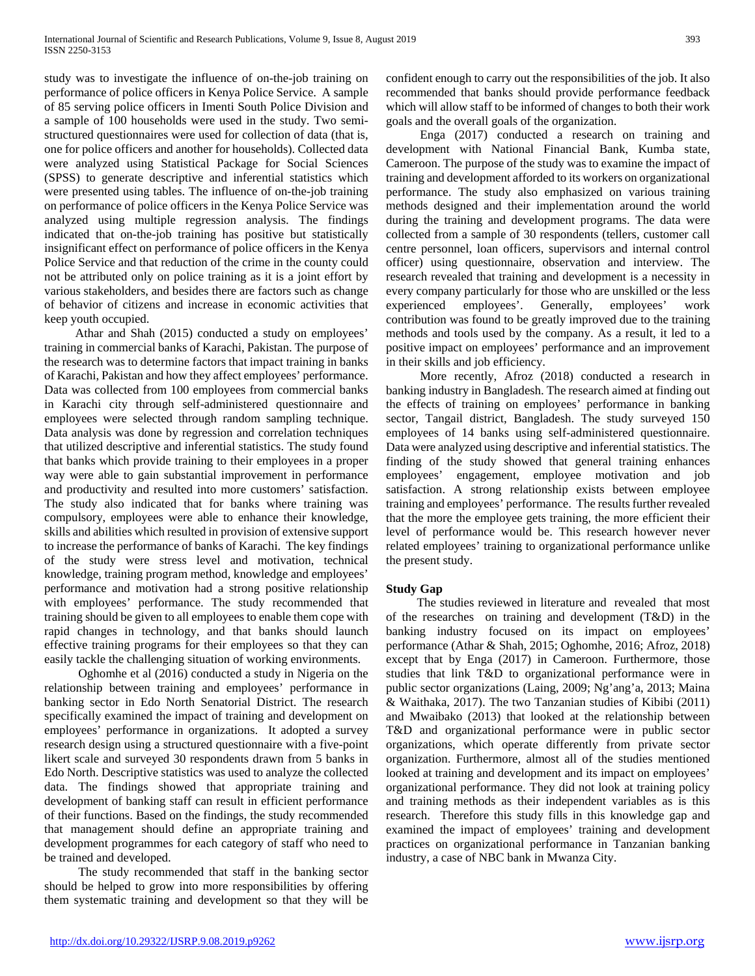study was to investigate the influence of on-the-job training on performance of police officers in Kenya Police Service. A sample of 85 serving police officers in Imenti South Police Division and a sample of 100 households were used in the study. Two semistructured questionnaires were used for collection of data (that is, one for police officers and another for households). Collected data were analyzed using Statistical Package for Social Sciences (SPSS) to generate descriptive and inferential statistics which were presented using tables. The influence of on-the-job training on performance of police officers in the Kenya Police Service was analyzed using multiple regression analysis. The findings indicated that on-the-job training has positive but statistically insignificant effect on performance of police officers in the Kenya Police Service and that reduction of the crime in the county could not be attributed only on police training as it is a joint effort by various stakeholders, and besides there are factors such as change of behavior of citizens and increase in economic activities that keep youth occupied.

 Athar and Shah (2015) conducted a study on employees' training in commercial banks of Karachi, Pakistan. The purpose of the research was to determine factors that impact training in banks of Karachi, Pakistan and how they affect employees' performance. Data was collected from 100 employees from commercial banks in Karachi city through self-administered questionnaire and employees were selected through random sampling technique. Data analysis was done by regression and correlation techniques that utilized descriptive and inferential statistics. The study found that banks which provide training to their employees in a proper way were able to gain substantial improvement in performance and productivity and resulted into more customers' satisfaction. The study also indicated that for banks where training was compulsory, employees were able to enhance their knowledge, skills and abilities which resulted in provision of extensive support to increase the performance of banks of Karachi. The key findings of the study were stress level and motivation, technical knowledge, training program method, knowledge and employees' performance and motivation had a strong positive relationship with employees' performance. The study recommended that training should be given to all employees to enable them cope with rapid changes in technology, and that banks should launch effective training programs for their employees so that they can easily tackle the challenging situation of working environments.

 Oghomhe et al (2016) conducted a study in Nigeria on the relationship between training and employees' performance in banking sector in Edo North Senatorial District. The research specifically examined the impact of training and development on employees' performance in organizations. It adopted a survey research design using a structured questionnaire with a five-point likert scale and surveyed 30 respondents drawn from 5 banks in Edo North. Descriptive statistics was used to analyze the collected data. The findings showed that appropriate training and development of banking staff can result in efficient performance of their functions. Based on the findings, the study recommended that management should define an appropriate training and development programmes for each category of staff who need to be trained and developed.

 The study recommended that staff in the banking sector should be helped to grow into more responsibilities by offering them systematic training and development so that they will be

confident enough to carry out the responsibilities of the job. It also recommended that banks should provide performance feedback which will allow staff to be informed of changes to both their work goals and the overall goals of the organization.

 Enga (2017) conducted a research on training and development with National Financial Bank, Kumba state, Cameroon. The purpose of the study was to examine the impact of training and development afforded to its workers on organizational performance. The study also emphasized on various training methods designed and their implementation around the world during the training and development programs. The data were collected from a sample of 30 respondents (tellers, customer call centre personnel, loan officers, supervisors and internal control officer) using questionnaire, observation and interview. The research revealed that training and development is a necessity in every company particularly for those who are unskilled or the less experienced employees'. Generally, employees' work contribution was found to be greatly improved due to the training methods and tools used by the company. As a result, it led to a positive impact on employees' performance and an improvement in their skills and job efficiency.

 More recently, Afroz (2018) conducted a research in banking industry in Bangladesh. The research aimed at finding out the effects of training on employees' performance in banking sector, Tangail district, Bangladesh. The study surveyed 150 employees of 14 banks using self-administered questionnaire. Data were analyzed using descriptive and inferential statistics. The finding of the study showed that general training enhances employees' engagement, employee motivation and job satisfaction. A strong relationship exists between employee training and employees' performance. The results further revealed that the more the employee gets training, the more efficient their level of performance would be. This research however never related employees' training to organizational performance unlike the present study.

#### **Study Gap**

 The studies reviewed in literature and revealed that most of the researches on training and development (T&D) in the banking industry focused on its impact on employees' performance (Athar & Shah, 2015; Oghomhe, 2016; Afroz, 2018) except that by Enga (2017) in Cameroon. Furthermore, those studies that link T&D to organizational performance were in public sector organizations (Laing, 2009; Ng'ang'a, 2013; Maina & Waithaka, 2017). The two Tanzanian studies of Kibibi (2011) and Mwaibako (2013) that looked at the relationship between T&D and organizational performance were in public sector organizations, which operate differently from private sector organization. Furthermore, almost all of the studies mentioned looked at training and development and its impact on employees' organizational performance. They did not look at training policy and training methods as their independent variables as is this research. Therefore this study fills in this knowledge gap and examined the impact of employees' training and development practices on organizational performance in Tanzanian banking industry, a case of NBC bank in Mwanza City.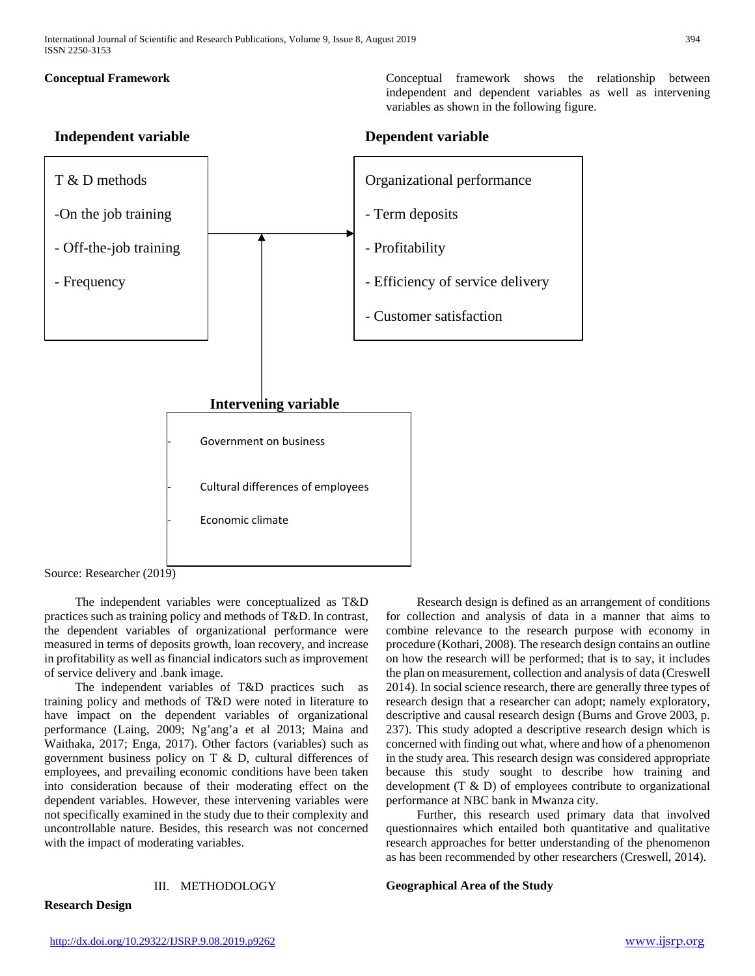**Conceptual Framework 1996** Conceptual framework shows the relationship between independent and dependent variables as well as intervening variables as shown in the following figure.

# **Independent variable Dependent variable**



Source: Researcher (2019)

 The independent variables were conceptualized as T&D practices such as training policy and methods of T&D. In contrast, the dependent variables of organizational performance were measured in terms of deposits growth, loan recovery, and increase in profitability as well as financial indicators such as improvement of service delivery and .bank image.

 The independent variables of T&D practices such as training policy and methods of T&D were noted in literature to have impact on the dependent variables of organizational performance (Laing, 2009; Ng'ang'a et al 2013; Maina and Waithaka, 2017; Enga, 2017). Other factors (variables) such as government business policy on T & D, cultural differences of employees, and prevailing economic conditions have been taken into consideration because of their moderating effect on the dependent variables. However, these intervening variables were not specifically examined in the study due to their complexity and uncontrollable nature. Besides, this research was not concerned with the impact of moderating variables.

#### III. METHODOLOGY

for collection and analysis of data in a manner that aims to combine relevance to the research purpose with economy in procedure (Kothari, 2008). The research design contains an outline on how the research will be performed; that is to say, it includes the plan on measurement, collection and analysis of data (Creswell 2014). In social science research, there are generally three types of research design that a researcher can adopt; namely exploratory, descriptive and causal research design (Burns and Grove 2003, p. 237). This study adopted a descriptive research design which is concerned with finding out what, where and how of a phenomenon in the study area. This research design was considered appropriate because this study sought to describe how training and development (T & D) of employees contribute to organizational performance at NBC bank in Mwanza city.

Research design is defined as an arrangement of conditions

 Further, this research used primary data that involved questionnaires which entailed both quantitative and qualitative research approaches for better understanding of the phenomenon as has been recommended by other researchers (Creswell, 2014).

**Geographical Area of the Study** 

**Research Design**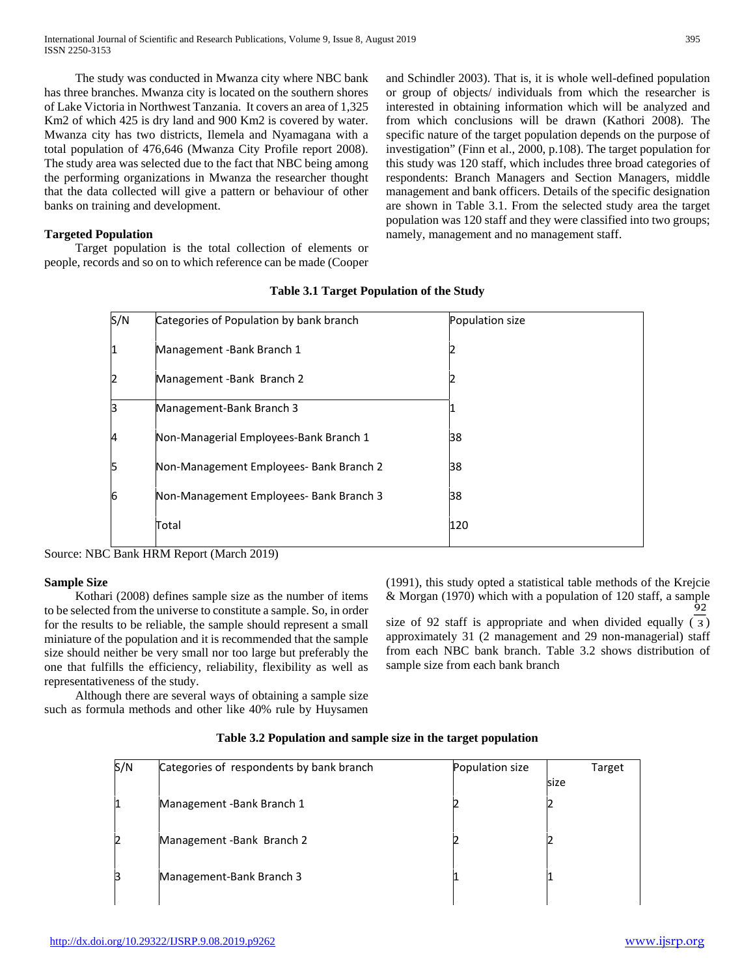The study was conducted in Mwanza city where NBC bank has three branches. Mwanza city is located on the southern shores of Lake Victoria in Northwest Tanzania. It covers an area of 1,325 Km2 of which 425 is dry land and 900 Km2 is covered by water. Mwanza city has two districts, Ilemela and Nyamagana with a total population of 476,646 (Mwanza City Profile report 2008). The study area was selected due to the fact that NBC being among the performing organizations in Mwanza the researcher thought that the data collected will give a pattern or behaviour of other banks on training and development.

#### **Targeted Population**

 Target population is the total collection of elements or people, records and so on to which reference can be made (Cooper and Schindler 2003). That is, it is whole well-defined population or group of objects/ individuals from which the researcher is interested in obtaining information which will be analyzed and from which conclusions will be drawn (Kathori 2008). The specific nature of the target population depends on the purpose of investigation" (Finn et al., 2000, p.108). The target population for this study was 120 staff, which includes three broad categories of respondents: Branch Managers and Section Managers, middle management and bank officers. Details of the specific designation are shown in Table 3.1. From the selected study area the target population was 120 staff and they were classified into two groups; namely, management and no management staff.

|    | S/N | Categories of Population by bank branch | Population size |
|----|-----|-----------------------------------------|-----------------|
| 1  |     | Management -Bank Branch 1               |                 |
|    |     | Management-Bank Branch 2                |                 |
| R  |     | Management-Bank Branch 3                |                 |
| 4  |     | Non-Managerial Employees-Bank Branch 1  | 38              |
| רו |     | Non-Management Employees- Bank Branch 2 | 38              |
| 6  |     | Non-Management Employees- Bank Branch 3 | 38              |
|    |     | Total                                   | 120             |
|    |     |                                         |                 |

#### **Table 3.1 Target Population of the Study**

Source: NBC Bank HRM Report (March 2019)

#### **Sample Size**

 Kothari (2008) defines sample size as the number of items to be selected from the universe to constitute a sample. So, in order for the results to be reliable, the sample should represent a small miniature of the population and it is recommended that the sample size should neither be very small nor too large but preferably the one that fulfills the efficiency, reliability, flexibility as well as representativeness of the study.

 Although there are several ways of obtaining a sample size such as formula methods and other like 40% rule by Huysamen (1991), this study opted a statistical table methods of the Krejcie & Morgan (1970) which with a population of 120 staff, a sample  $\frac{92}{92}$ size of 92 staff is appropriate and when divided equally  $(3)$ approximately 31 (2 management and 29 non-managerial) staff

from each NBC bank branch. Table 3.2 shows distribution of sample size from each bank branch

|  | Table 3.2 Population and sample size in the target population |
|--|---------------------------------------------------------------|

| S/N | Categories of respondents by bank branch | Population size | Target |
|-----|------------------------------------------|-----------------|--------|
|     |                                          |                 | size   |
| 1   | Management -Bank Branch 1                |                 |        |
| 12  | Management-Bank Branch 2                 |                 |        |
| В   | Management-Bank Branch 3                 |                 |        |
|     |                                          |                 |        |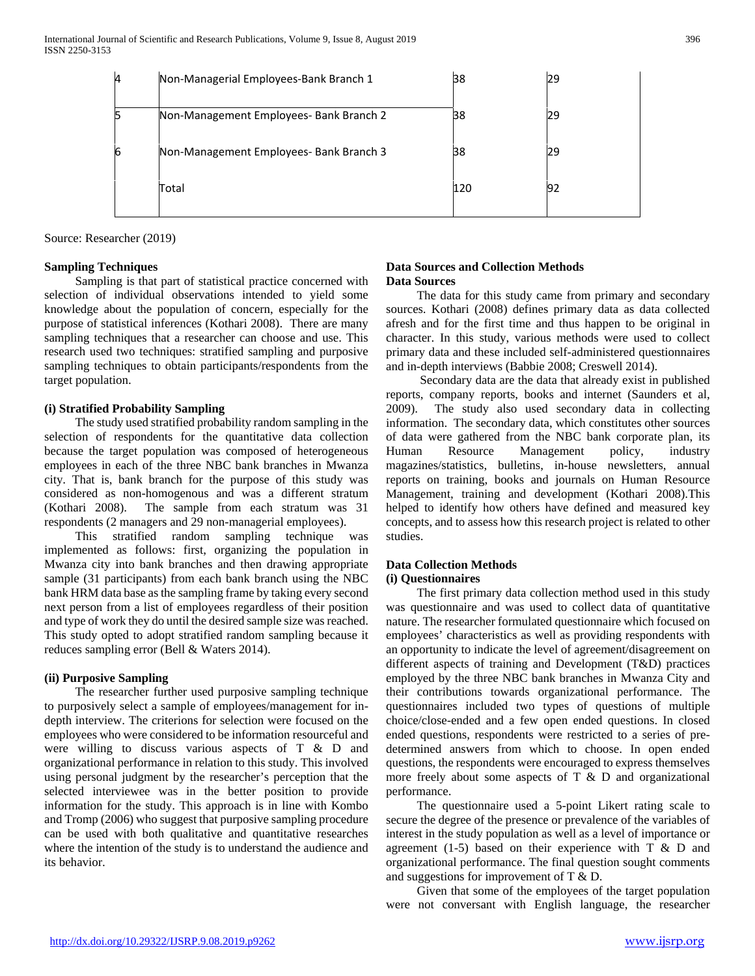| 4 | Non-Managerial Employees-Bank Branch 1  | 38  | 29 |
|---|-----------------------------------------|-----|----|
|   | Non-Management Employees- Bank Branch 2 | 38  | 29 |
|   | Non-Management Employees- Bank Branch 3 | 38  | 29 |
|   | Total                                   | 120 | 92 |
|   |                                         |     |    |

Source: Researcher (2019)

#### **Sampling Techniques**

 Sampling is that part of statistical practice concerned with selection of individual observations intended to yield some knowledge about the population of concern, especially for the purpose of statistical inferences (Kothari 2008). There are many sampling techniques that a researcher can choose and use. This research used two techniques: stratified sampling and purposive sampling techniques to obtain participants/respondents from the target population.

# **(i) Stratified Probability Sampling**

 The study used stratified probability random sampling in the selection of respondents for the quantitative data collection because the target population was composed of heterogeneous employees in each of the three NBC bank branches in Mwanza city. That is, bank branch for the purpose of this study was considered as non-homogenous and was a different stratum (Kothari 2008). The sample from each stratum was 31 respondents (2 managers and 29 non-managerial employees).

 This stratified random sampling technique was implemented as follows: first, organizing the population in Mwanza city into bank branches and then drawing appropriate sample (31 participants) from each bank branch using the NBC bank HRM data base as the sampling frame by taking every second next person from a list of employees regardless of their position and type of work they do until the desired sample size was reached. This study opted to adopt stratified random sampling because it reduces sampling error (Bell & Waters 2014).

# **(ii) Purposive Sampling**

 The researcher further used purposive sampling technique to purposively select a sample of employees/management for indepth interview. The criterions for selection were focused on the employees who were considered to be information resourceful and were willing to discuss various aspects of T & D and organizational performance in relation to this study. This involved using personal judgment by the researcher's perception that the selected interviewee was in the better position to provide information for the study. This approach is in line with Kombo and Tromp (2006) who suggest that purposive sampling procedure can be used with both qualitative and quantitative researches where the intention of the study is to understand the audience and its behavior.

# **Data Sources and Collection Methods Data Sources**

 The data for this study came from primary and secondary sources. Kothari (2008) defines primary data as data collected afresh and for the first time and thus happen to be original in character. In this study, various methods were used to collect primary data and these included self-administered questionnaires and in-depth interviews (Babbie 2008; Creswell 2014).

 Secondary data are the data that already exist in published reports, company reports, books and internet (Saunders et al, 2009). The study also used secondary data in collecting information. The secondary data, which constitutes other sources of data were gathered from the NBC bank corporate plan, its Human Resource Management policy, industry magazines/statistics, bulletins, in-house newsletters, annual reports on training, books and journals on Human Resource Management, training and development (Kothari 2008).This helped to identify how others have defined and measured key concepts, and to assess how this research project is related to other studies.

# **Data Collection Methods**

#### **(i) Questionnaires**

 The first primary data collection method used in this study was questionnaire and was used to collect data of quantitative nature. The researcher formulated questionnaire which focused on employees' characteristics as well as providing respondents with an opportunity to indicate the level of agreement/disagreement on different aspects of training and Development (T&D) practices employed by the three NBC bank branches in Mwanza City and their contributions towards organizational performance. The questionnaires included two types of questions of multiple choice/close-ended and a few open ended questions. In closed ended questions, respondents were restricted to a series of predetermined answers from which to choose. In open ended questions, the respondents were encouraged to express themselves more freely about some aspects of T & D and organizational performance.

 The questionnaire used a 5-point Likert rating scale to secure the degree of the presence or prevalence of the variables of interest in the study population as well as a level of importance or agreement (1-5) based on their experience with  $T \& D$  and organizational performance. The final question sought comments and suggestions for improvement of T & D.

 Given that some of the employees of the target population were not conversant with English language, the researcher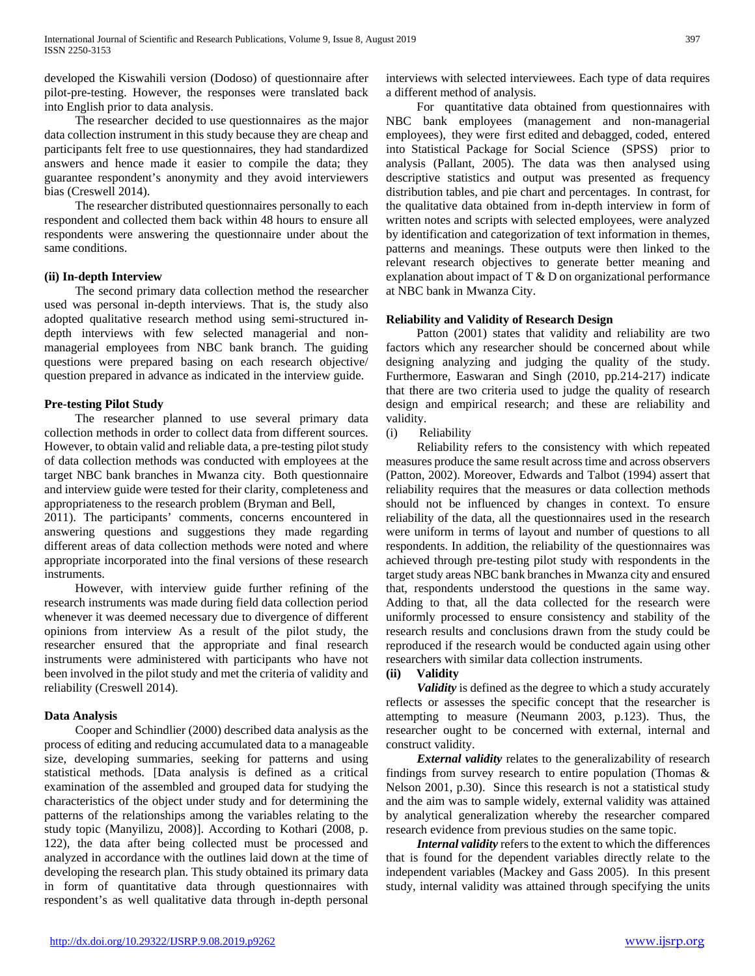developed the Kiswahili version (Dodoso) of questionnaire after pilot-pre-testing. However, the responses were translated back into English prior to data analysis.

 The researcher decided to use questionnaires as the major data collection instrument in this study because they are cheap and participants felt free to use questionnaires, they had standardized answers and hence made it easier to compile the data; they guarantee respondent's anonymity and they avoid interviewers bias (Creswell 2014).

 The researcher distributed questionnaires personally to each respondent and collected them back within 48 hours to ensure all respondents were answering the questionnaire under about the same conditions.

# **(ii) In-depth Interview**

 The second primary data collection method the researcher used was personal in-depth interviews. That is, the study also adopted qualitative research method using semi-structured indepth interviews with few selected managerial and nonmanagerial employees from NBC bank branch. The guiding questions were prepared basing on each research objective/ question prepared in advance as indicated in the interview guide.

# **Pre-testing Pilot Study**

 The researcher planned to use several primary data collection methods in order to collect data from different sources. However, to obtain valid and reliable data, a pre-testing pilot study of data collection methods was conducted with employees at the target NBC bank branches in Mwanza city. Both questionnaire and interview guide were tested for their clarity, completeness and appropriateness to the research problem (Bryman and Bell,

2011). The participants' comments, concerns encountered in answering questions and suggestions they made regarding different areas of data collection methods were noted and where appropriate incorporated into the final versions of these research instruments.

 However, with interview guide further refining of the research instruments was made during field data collection period whenever it was deemed necessary due to divergence of different opinions from interview As a result of the pilot study, the researcher ensured that the appropriate and final research instruments were administered with participants who have not been involved in the pilot study and met the criteria of validity and reliability (Creswell 2014).

#### **Data Analysis**

 Cooper and Schindlier (2000) described data analysis as the process of editing and reducing accumulated data to a manageable size, developing summaries, seeking for patterns and using statistical methods. [Data analysis is defined as a critical examination of the assembled and grouped data for studying the characteristics of the object under study and for determining the patterns of the relationships among the variables relating to the study topic (Manyilizu, 2008)]. According to Kothari (2008, p. 122), the data after being collected must be processed and analyzed in accordance with the outlines laid down at the time of developing the research plan. This study obtained its primary data in form of quantitative data through questionnaires with respondent's as well qualitative data through in-depth personal

interviews with selected interviewees. Each type of data requires a different method of analysis.

 For quantitative data obtained from questionnaires with NBC bank employees (management and non-managerial employees), they were first edited and debagged, coded, entered into Statistical Package for Social Science (SPSS) prior to analysis (Pallant, 2005). The data was then analysed using descriptive statistics and output was presented as frequency distribution tables, and pie chart and percentages. In contrast, for the qualitative data obtained from in-depth interview in form of written notes and scripts with selected employees, were analyzed by identification and categorization of text information in themes, patterns and meanings. These outputs were then linked to the relevant research objectives to generate better meaning and explanation about impact of T & D on organizational performance at NBC bank in Mwanza City.

# **Reliability and Validity of Research Design**

 Patton (2001) states that validity and reliability are two factors which any researcher should be concerned about while designing analyzing and judging the quality of the study. Furthermore, Easwaran and Singh (2010, pp.214-217) indicate that there are two criteria used to judge the quality of research design and empirical research; and these are reliability and validity.

(i) Reliability

 Reliability refers to the consistency with which repeated measures produce the same result across time and across observers (Patton, 2002). Moreover, Edwards and Talbot (1994) assert that reliability requires that the measures or data collection methods should not be influenced by changes in context. To ensure reliability of the data, all the questionnaires used in the research were uniform in terms of layout and number of questions to all respondents. In addition, the reliability of the questionnaires was achieved through pre-testing pilot study with respondents in the target study areas NBC bank branches in Mwanza city and ensured that, respondents understood the questions in the same way. Adding to that, all the data collected for the research were uniformly processed to ensure consistency and stability of the research results and conclusions drawn from the study could be reproduced if the research would be conducted again using other researchers with similar data collection instruments.

#### **(ii) Validity**

 *Validity* is defined as the degree to which a study accurately reflects or assesses the specific concept that the researcher is attempting to measure (Neumann 2003, p.123). Thus, the researcher ought to be concerned with external, internal and construct validity.

 *External validity* relates to the generalizability of research findings from survey research to entire population (Thomas & Nelson 2001, p.30). Since this research is not a statistical study and the aim was to sample widely, external validity was attained by analytical generalization whereby the researcher compared research evidence from previous studies on the same topic.

 *Internal validity* refers to the extent to which the differences that is found for the dependent variables directly relate to the independent variables (Mackey and Gass 2005). In this present study, internal validity was attained through specifying the units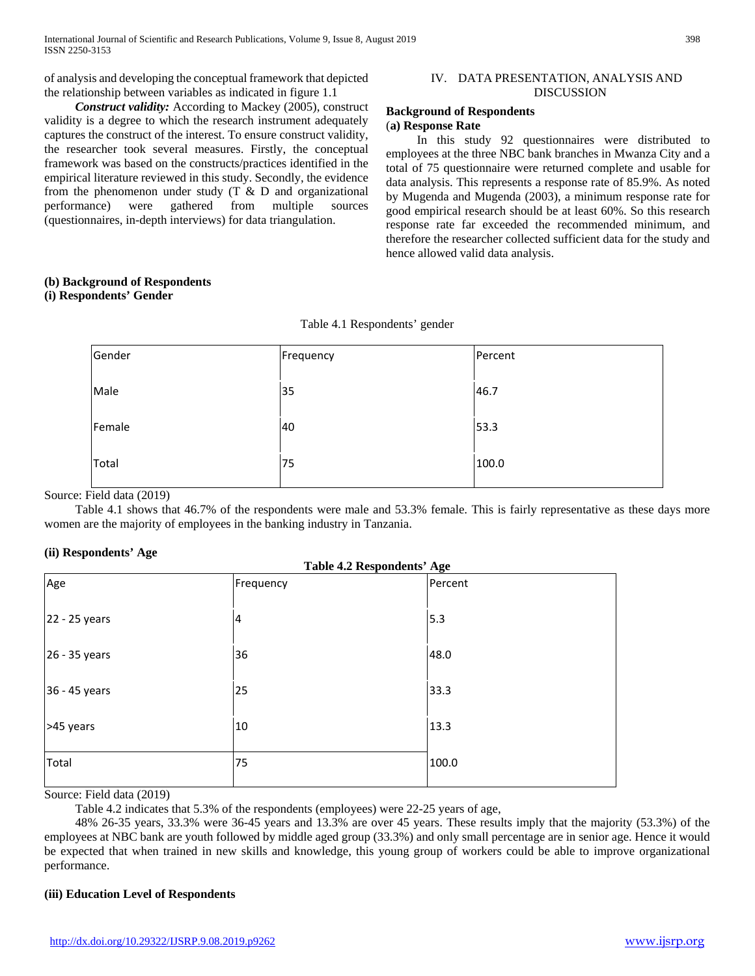of analysis and developing the conceptual framework that depicted the relationship between variables as indicated in figure 1.1

 *Construct validity:* According to Mackey (2005), construct validity is a degree to which the research instrument adequately captures the construct of the interest. To ensure construct validity, the researcher took several measures. Firstly, the conceptual framework was based on the constructs/practices identified in the empirical literature reviewed in this study. Secondly, the evidence from the phenomenon under study  $(T \& D)$  and organizational performance) were gathered from multiple sources (questionnaires, in-depth interviews) for data triangulation.

#### IV. DATA PRESENTATION, ANALYSIS AND DISCUSSION

#### **Background of Respondents**  (**a) Response Rate**

 In this study 92 questionnaires were distributed to employees at the three NBC bank branches in Mwanza City and a total of 75 questionnaire were returned complete and usable for data analysis. This represents a response rate of 85.9%. As noted by Mugenda and Mugenda (2003), a minimum response rate for good empirical research should be at least 60%. So this research response rate far exceeded the recommended minimum, and therefore the researcher collected sufficient data for the study and hence allowed valid data analysis.

# **(b) Background of Respondents**

# **(i) Respondents' Gender**

# Table 4.1 Respondents' gender

| Gender | Frequency | Percent |
|--------|-----------|---------|
| Male   | 35        | 46.7    |
| Female | 40        | 53.3    |
| Total  | 75        | 100.0   |

Source: Field data (2019)

 Table 4.1 shows that 46.7% of the respondents were male and 53.3% female. This is fairly representative as these days more women are the majority of employees in the banking industry in Tanzania.

# **(ii) Respondents' Age**

| . .<br>ີ<br><b>Table 4.2 Respondents' Age</b> |           |         |
|-----------------------------------------------|-----------|---------|
| Age                                           | Frequency | Percent |
| 22 - 25 years                                 | 4         | 5.3     |
| 26 - 35 years                                 | 36        | 48.0    |
|                                               |           |         |
| 36 - 45 years                                 | 25        | 33.3    |
| >45 years                                     | 10        | 13.3    |
| Total                                         | 75        | 100.0   |
| .                                             |           |         |

Source: Field data (2019)

Table 4.2 indicates that 5.3% of the respondents (employees) were 22-25 years of age,

 48% 26-35 years, 33.3% were 36-45 years and 13.3% are over 45 years. These results imply that the majority (53.3%) of the employees at NBC bank are youth followed by middle aged group (33.3%) and only small percentage are in senior age. Hence it would be expected that when trained in new skills and knowledge, this young group of workers could be able to improve organizational performance.

# **(iii) Education Level of Respondents**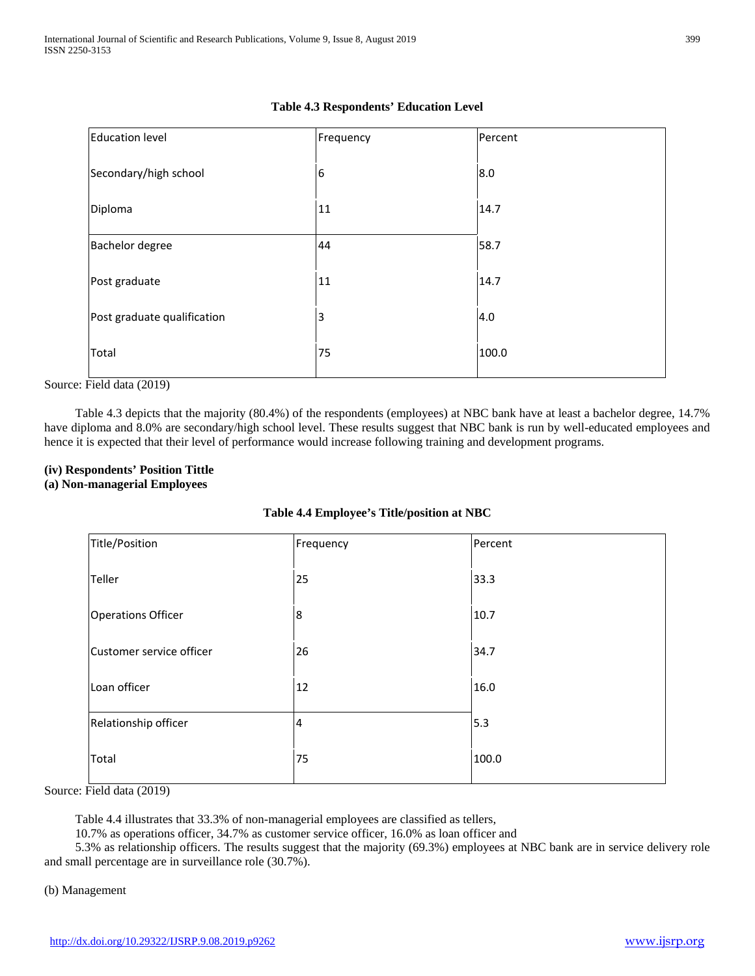| <b>Education level</b>      | Frequency | Percent |
|-----------------------------|-----------|---------|
| Secondary/high school       | 6         | 8.0     |
| Diploma                     | 11        | 14.7    |
| <b>Bachelor degree</b>      | 44        | 58.7    |
| Post graduate               | 11        | 14.7    |
| Post graduate qualification | 3         | 4.0     |
| Total                       | 75        | 100.0   |

# **Table 4.3 Respondents' Education Level**

Source: Field data (2019)

 Table 4.3 depicts that the majority (80.4%) of the respondents (employees) at NBC bank have at least a bachelor degree, 14.7% have diploma and 8.0% are secondary/high school level. These results suggest that NBC bank is run by well-educated employees and hence it is expected that their level of performance would increase following training and development programs.

# **(iv) Respondents' Position Tittle**

#### **(a) Non-managerial Employees**

| Title/Position            | Frequency      | Percent |
|---------------------------|----------------|---------|
| Teller                    | 25             | 33.3    |
| <b>Operations Officer</b> | 8              | 10.7    |
| Customer service officer  | 26             | 34.7    |
| Loan officer              | 12             | 16.0    |
| Relationship officer      | $\overline{4}$ | 5.3     |
| Total                     | 75             | 100.0   |

Source: Field data (2019)

Table 4.4 illustrates that 33.3% of non-managerial employees are classified as tellers,

10.7% as operations officer, 34.7% as customer service officer, 16.0% as loan officer and

 5.3% as relationship officers. The results suggest that the majority (69.3%) employees at NBC bank are in service delivery role and small percentage are in surveillance role (30.7%).

(b) Management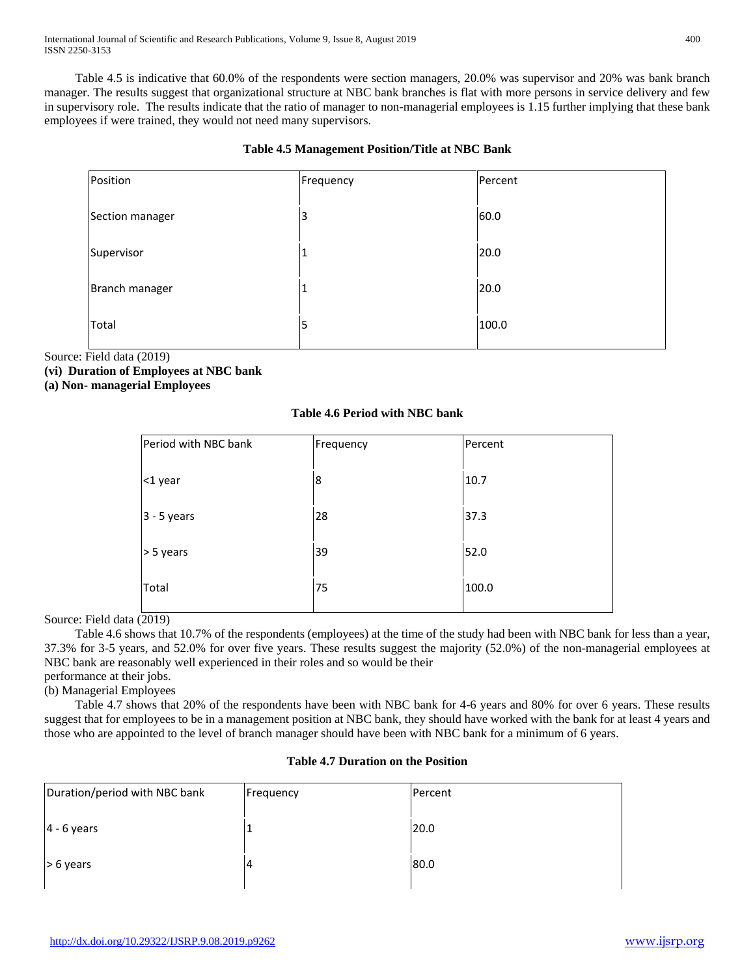Table 4.5 is indicative that 60.0% of the respondents were section managers, 20.0% was supervisor and 20% was bank branch manager. The results suggest that organizational structure at NBC bank branches is flat with more persons in service delivery and few in supervisory role. The results indicate that the ratio of manager to non-managerial employees is 1.15 further implying that these bank employees if were trained, they would not need many supervisors.

# **Table 4.5 Management Position/Title at NBC Bank**

| Position        | Frequency | Percent |
|-----------------|-----------|---------|
| Section manager | 3         | 60.0    |
| Supervisor      |           | 20.0    |
| Branch manager  | J.        | 20.0    |
| Total           | 5         | 100.0   |

Source: Field data (2019)

**(vi) Duration of Employees at NBC bank** 

**(a) Non- managerial Employees** 

# **Table 4.6 Period with NBC bank**

| Period with NBC bank | Frequency | Percent |
|----------------------|-----------|---------|
| <1 year              | 8         | 10.7    |
| $3 - 5$ years        | 28        | 37.3    |
| > 5 years            | 39        | 52.0    |
| Total                | 75        | 100.0   |
|                      |           |         |

Source: Field data (2019)

 Table 4.6 shows that 10.7% of the respondents (employees) at the time of the study had been with NBC bank for less than a year, 37.3% for 3-5 years, and 52.0% for over five years. These results suggest the majority (52.0%) of the non-managerial employees at NBC bank are reasonably well experienced in their roles and so would be their performance at their jobs.

(b) Managerial Employees

 Table 4.7 shows that 20% of the respondents have been with NBC bank for 4-6 years and 80% for over 6 years. These results suggest that for employees to be in a management position at NBC bank, they should have worked with the bank for at least 4 years and those who are appointed to the level of branch manager should have been with NBC bank for a minimum of 6 years.

# **Table 4.7 Duration on the Position**

| Duration/period with NBC bank | Frequency | Percent |
|-------------------------------|-----------|---------|
| $4 - 6$ years                 |           | 20.0    |
| $> 6$ years                   | 4         | 80.0    |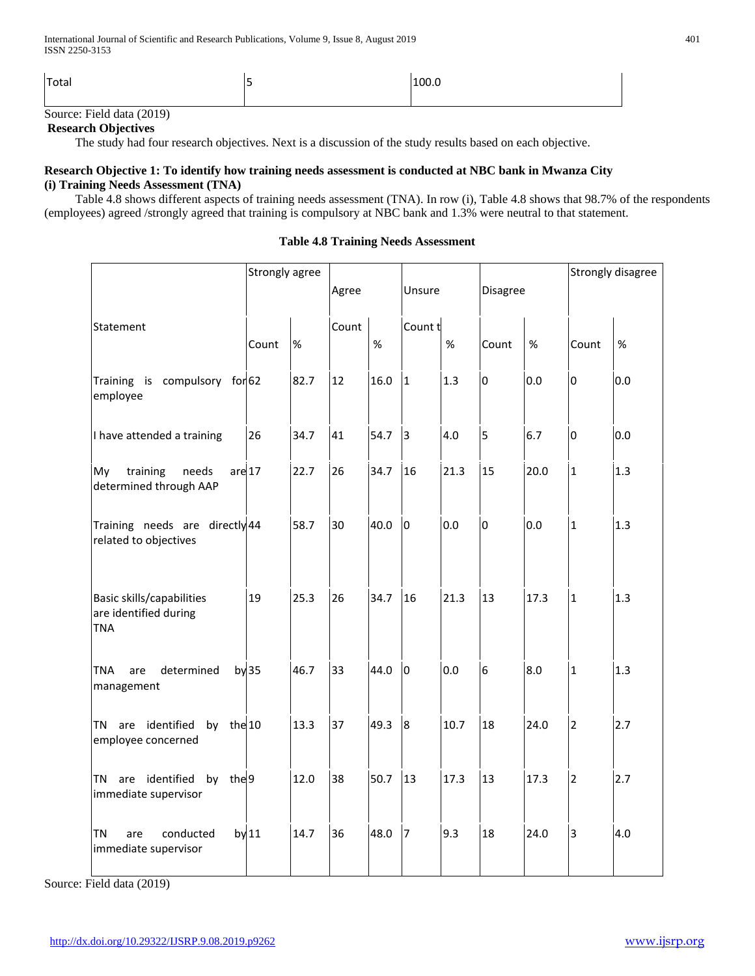| Total                                                                                                            | 100.1 |
|------------------------------------------------------------------------------------------------------------------|-------|
| the contract of the contract of the contract of the contract of the contract of<br>the control of the control of |       |

# Source: Field data (2019)

# **Research Objectives**

The study had four research objectives. Next is a discussion of the study results based on each objective.

# **Research Objective 1: To identify how training needs assessment is conducted at NBC bank in Mwanza City (i) Training Needs Assessment (TNA)**

 Table 4.8 shows different aspects of training needs assessment (TNA). In row (i), Table 4.8 shows that 98.7% of the respondents (employees) agreed /strongly agreed that training is compulsory at NBC bank and 1.3% were neutral to that statement.

|                                                                  | Strongly agree   |      |       |      |             |      |                |      |                | Strongly disagree |
|------------------------------------------------------------------|------------------|------|-------|------|-------------|------|----------------|------|----------------|-------------------|
|                                                                  |                  |      | Agree |      | Unsure      |      | Disagree       |      |                |                   |
| Statement                                                        | Count            | %    | Count | $\%$ | Count t     | $\%$ | Count          | %    | Count          | %                 |
| Training is compulsory for 62<br>employee                        |                  | 82.7 | 12    | 16.0 | 1           | 1.3  | $\overline{0}$ | 0.0  | $\mathsf 0$    | 0.0               |
| I have attended a training                                       | 26               | 34.7 | 41    | 54.7 | 3           | 4.0  | 5              | 6.7  | $\overline{0}$ | 0.0               |
| training<br>needs<br>are 17<br>My<br>determined through AAP      |                  | 22.7 | 26    | 34.7 | 16          | 21.3 | 15             | 20.0 | $\mathbf{1}$   | 1.3               |
| Training needs are directly 44<br>related to objectives          |                  | 58.7 | 30    | 40.0 | $ 0\rangle$ | 0.0  | $\overline{0}$ | 0.0  | $\mathbf{1}$   | 1.3               |
| Basic skills/capabilities<br>are identified during<br><b>TNA</b> | 19               | 25.3 | 26    | 34.7 | 16          | 21.3 | 13             | 17.3 | $\mathbf{1}$   | 1.3               |
| determined<br><b>TNA</b><br>are<br>management                    | by <sub>35</sub> | 46.7 | 33    | 44.0 | lo          | 0.0  | 6              | 8.0  | $\mathbf{1}$   | 1.3               |
| TN are identified<br>by the 10<br>employee concerned             |                  | 13.3 | 37    | 49.3 | 8           | 10.7 | 18             | 24.0 | $\overline{2}$ | 2.7               |
| by the 9<br>TN are identified<br>immediate supervisor            |                  | 12.0 | 38    | 50.7 | 13          | 17.3 | 13             | 17.3 | $\overline{2}$ | 2.7               |
| <b>TN</b><br>conducted<br>are<br>immediate supervisor            | by 11            | 14.7 | 36    | 48.0 | 17          | 9.3  | 18             | 24.0 | $\overline{3}$ | 4.0               |

#### **Table 4.8 Training Needs Assessment**

Source: Field data (2019)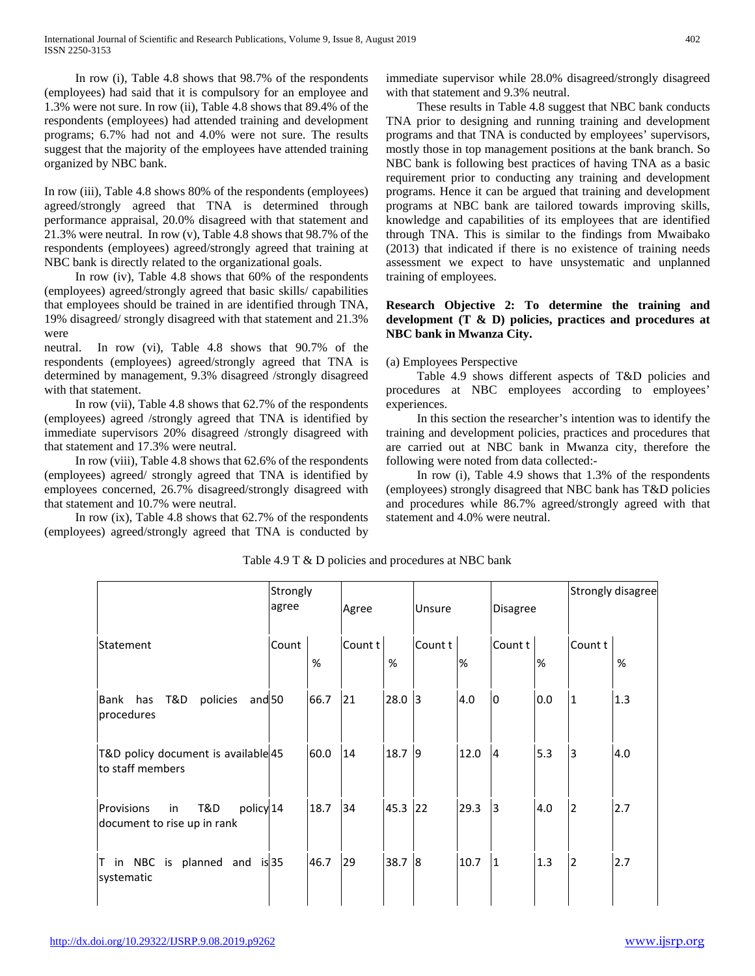In row (i), Table 4.8 shows that 98.7% of the respondents (employees) had said that it is compulsory for an employee and 1.3% were not sure. In row (ii), Table 4.8 shows that 89.4% of the respondents (employees) had attended training and development programs; 6.7% had not and 4.0% were not sure. The results suggest that the majority of the employees have attended training organized by NBC bank.

In row (iii), Table 4.8 shows 80% of the respondents (employees) agreed/strongly agreed that TNA is determined through performance appraisal, 20.0% disagreed with that statement and 21.3% were neutral. In row (v), Table 4.8 shows that 98.7% of the respondents (employees) agreed/strongly agreed that training at NBC bank is directly related to the organizational goals.

 In row (iv), Table 4.8 shows that 60% of the respondents (employees) agreed/strongly agreed that basic skills/ capabilities that employees should be trained in are identified through TNA, 19% disagreed/ strongly disagreed with that statement and 21.3% were

neutral. In row (vi), Table 4.8 shows that 90.7% of the respondents (employees) agreed/strongly agreed that TNA is determined by management, 9.3% disagreed /strongly disagreed with that statement.

 In row (vii), Table 4.8 shows that 62.7% of the respondents (employees) agreed /strongly agreed that TNA is identified by immediate supervisors 20% disagreed /strongly disagreed with that statement and 17.3% were neutral.

 In row (viii), Table 4.8 shows that 62.6% of the respondents (employees) agreed/ strongly agreed that TNA is identified by employees concerned, 26.7% disagreed/strongly disagreed with that statement and 10.7% were neutral.

 In row (ix), Table 4.8 shows that 62.7% of the respondents (employees) agreed/strongly agreed that TNA is conducted by immediate supervisor while 28.0% disagreed/strongly disagreed with that statement and 9.3% neutral.

 These results in Table 4.8 suggest that NBC bank conducts TNA prior to designing and running training and development programs and that TNA is conducted by employees' supervisors, mostly those in top management positions at the bank branch. So NBC bank is following best practices of having TNA as a basic requirement prior to conducting any training and development programs. Hence it can be argued that training and development programs at NBC bank are tailored towards improving skills, knowledge and capabilities of its employees that are identified through TNA. This is similar to the findings from Mwaibako (2013) that indicated if there is no existence of training needs assessment we expect to have unsystematic and unplanned training of employees.

# **Research Objective 2: To determine the training and development (T & D) policies, practices and procedures at NBC bank in Mwanza City.**

# (a) Employees Perspective

 Table 4.9 shows different aspects of T&D policies and procedures at NBC employees according to employees' experiences.

 In this section the researcher's intention was to identify the training and development policies, practices and procedures that are carried out at NBC bank in Mwanza city, therefore the following were noted from data collected:-

 In row (i), Table 4.9 shows that 1.3% of the respondents (employees) strongly disagreed that NBC bank has T&D policies and procedures while 86.7% agreed/strongly agreed with that statement and 4.0% were neutral.

|                                                                     | Strongly<br>agree |      | Agree   |          | Unsure                  |      | <b>Disagree</b> |     |                | Strongly disagree |
|---------------------------------------------------------------------|-------------------|------|---------|----------|-------------------------|------|-----------------|-----|----------------|-------------------|
| Statement                                                           | Count             | %    | Count t | $\%$     | Count t                 | %    | Count t         | %   | Count t        | %                 |
| T&D<br>has<br>policies<br>Bank<br>and <sub>50</sub><br>procedures   |                   | 66.7 | 21      | $28.0$ 3 |                         | 4.0  | l0              | 0.0 | $\mathbf{1}$   | 1.3               |
| T&D policy document is available 45<br>to staff members             |                   | 60.0 | 14      | 18.7     | 9                       | 12.0 | 14              | 5.3 | 3              | 4.0               |
| T&D<br>policy 14<br>Provisions<br>in<br>document to rise up in rank |                   | 18.7 | 34      | 45.3     | 22                      | 29.3 | 3               | 4.0 | $\overline{2}$ | 2.7               |
| T in NBC<br>planned and is 35<br>is<br>systematic                   |                   | 46.7 | 29      | 38.7     | $\overline{\mathbf{8}}$ | 10.7 | I1              | 1.3 | $\overline{2}$ | 2.7               |

Table 4.9 T & D policies and procedures at NBC bank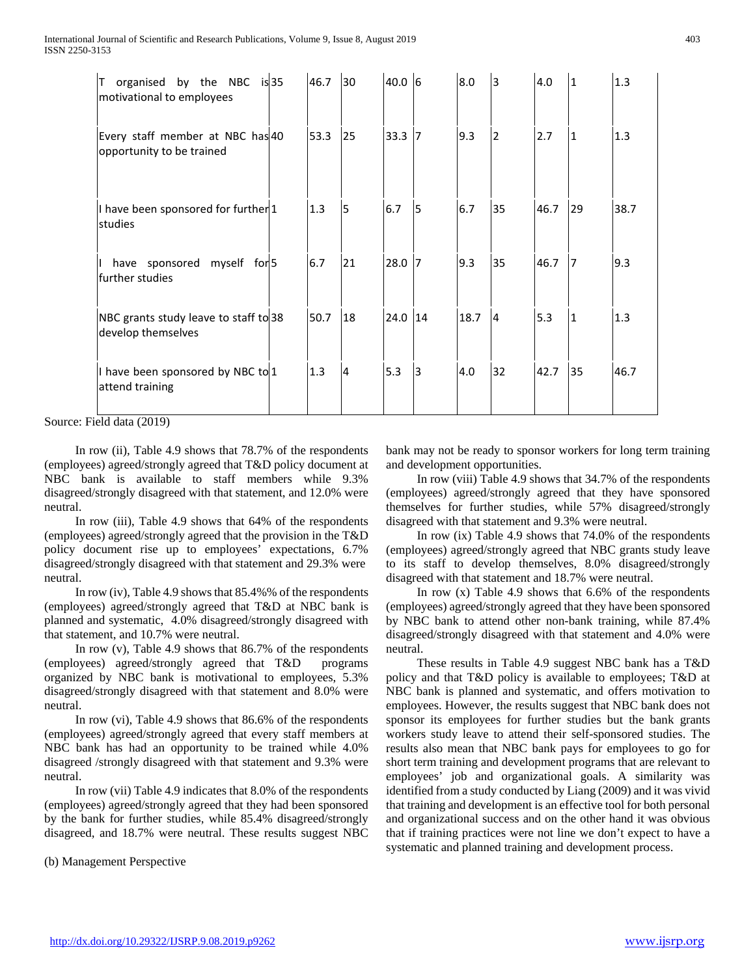| organised by the NBC is 35<br>Τ<br>motivational to employees   | 46.7 | 30             | 40.0 6   |              | 8.0  | 3              | 4.0  | $\mathbf{1}$ | 1.3  |
|----------------------------------------------------------------|------|----------------|----------|--------------|------|----------------|------|--------------|------|
| Every staff member at NBC has 40<br>opportunity to be trained  | 53.3 | 25             | $33.3$ 7 |              | 9.3  | $\overline{2}$ | 2.7  | 1            | 1.3  |
| I have been sponsored for further <sup>1</sup><br>studies      | 1.3  | 5              | 6.7      | 5            | 6.7  | 35             | 46.7 | 29           | 38.7 |
| have sponsored myself for 5<br>$\mathbf{I}$<br>further studies | 6.7  | 21             | 28.0 7   |              | 9.3  | 35             | 46.7 | 7            | 9.3  |
| NBC grants study leave to staff to 38<br>develop themselves    | 50.7 | 18             | 24.0 14  |              | 18.7 | I4             | 5.3  | 1            | 1.3  |
| I have been sponsored by NBC to 1<br>attend training           | 1.3  | $\overline{4}$ | 5.3      | <sub>3</sub> | 4.0  | 32             | 42.7 | 35           | 46.7 |

Source: Field data (2019)

 In row (ii), Table 4.9 shows that 78.7% of the respondents (employees) agreed/strongly agreed that T&D policy document at NBC bank is available to staff members while 9.3% disagreed/strongly disagreed with that statement, and 12.0% were neutral.

 In row (iii), Table 4.9 shows that 64% of the respondents (employees) agreed/strongly agreed that the provision in the T&D policy document rise up to employees' expectations, 6.7% disagreed/strongly disagreed with that statement and 29.3% were neutral.

 In row (iv), Table 4.9 shows that 85.4%% of the respondents (employees) agreed/strongly agreed that T&D at NBC bank is planned and systematic, 4.0% disagreed/strongly disagreed with that statement, and 10.7% were neutral.

 In row (v), Table 4.9 shows that 86.7% of the respondents (employees) agreed/strongly agreed that T&D programs organized by NBC bank is motivational to employees, 5.3% disagreed/strongly disagreed with that statement and 8.0% were neutral.

 In row (vi), Table 4.9 shows that 86.6% of the respondents (employees) agreed/strongly agreed that every staff members at NBC bank has had an opportunity to be trained while 4.0% disagreed /strongly disagreed with that statement and 9.3% were neutral.

 In row (vii) Table 4.9 indicates that 8.0% of the respondents (employees) agreed/strongly agreed that they had been sponsored by the bank for further studies, while 85.4% disagreed/strongly disagreed, and 18.7% were neutral. These results suggest NBC

(b) Management Perspective

bank may not be ready to sponsor workers for long term training and development opportunities.

 In row (viii) Table 4.9 shows that 34.7% of the respondents (employees) agreed/strongly agreed that they have sponsored themselves for further studies, while 57% disagreed/strongly disagreed with that statement and 9.3% were neutral.

 In row (ix) Table 4.9 shows that 74.0% of the respondents (employees) agreed/strongly agreed that NBC grants study leave to its staff to develop themselves, 8.0% disagreed/strongly disagreed with that statement and 18.7% were neutral.

In row  $(x)$  Table 4.9 shows that 6.6% of the respondents (employees) agreed/strongly agreed that they have been sponsored by NBC bank to attend other non-bank training, while 87.4% disagreed/strongly disagreed with that statement and 4.0% were neutral.

 These results in Table 4.9 suggest NBC bank has a T&D policy and that T&D policy is available to employees; T&D at NBC bank is planned and systematic, and offers motivation to employees. However, the results suggest that NBC bank does not sponsor its employees for further studies but the bank grants workers study leave to attend their self-sponsored studies. The results also mean that NBC bank pays for employees to go for short term training and development programs that are relevant to employees' job and organizational goals. A similarity was identified from a study conducted by Liang (2009) and it was vivid that training and development is an effective tool for both personal and organizational success and on the other hand it was obvious that if training practices were not line we don't expect to have a systematic and planned training and development process.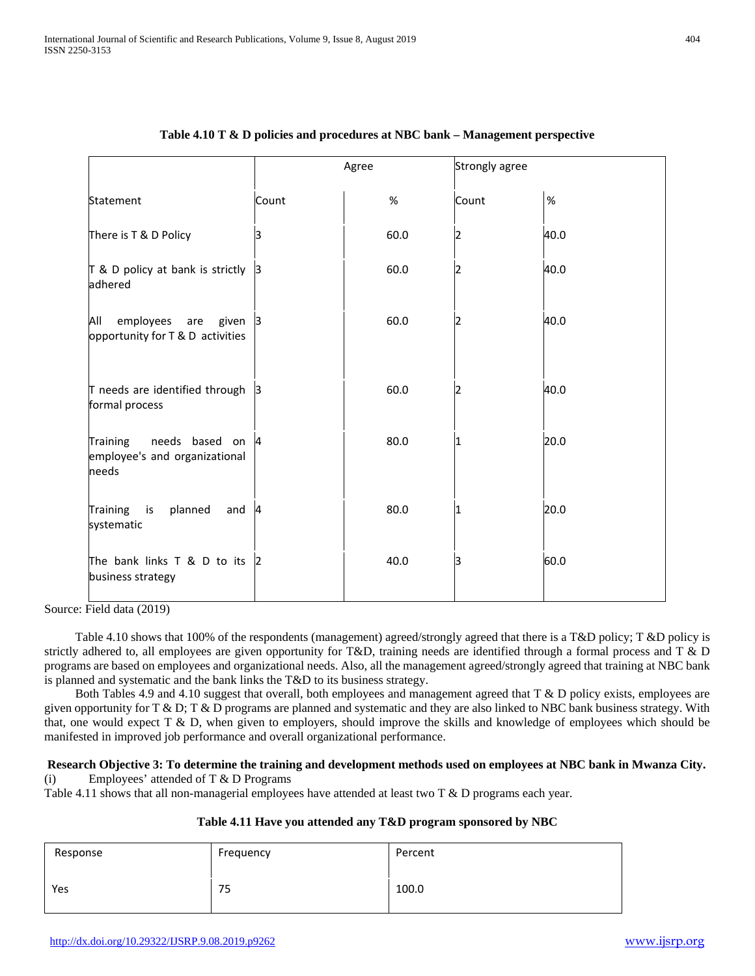|                                                                         |          | Agree | Strongly agree |      |
|-------------------------------------------------------------------------|----------|-------|----------------|------|
| Statement                                                               | Count    | $\%$  | Count          | $\%$ |
| There is T & D Policy                                                   |          | 60.0  |                | 40.0 |
| T & D policy at bank is strictly<br>adhered                             | B        | 60.0  |                | 40.0 |
| employees are<br>All<br>given<br>opportunity for T & D activities       | 3        | 60.0  |                | 40.0 |
| T needs are identified through<br>formal process                        | 13       | 60.0  |                | 40.0 |
| needs based<br>Training<br>on<br>employee's and organizational<br>needs | 4        | 80.0  |                | 20.0 |
| planned<br><b>Training</b><br>is<br>and<br>systematic                   | <b>A</b> | 80.0  | 1              | 20.0 |
| The bank links T & D to its<br>business strategy                        | 2        | 40.0  | ß              | 60.0 |

# **Table 4.10 T & D policies and procedures at NBC bank – Management perspective**

Source: Field data (2019)

 Table 4.10 shows that 100% of the respondents (management) agreed/strongly agreed that there is a T&D policy; T &D policy is strictly adhered to, all employees are given opportunity for T&D, training needs are identified through a formal process and T & D programs are based on employees and organizational needs. Also, all the management agreed/strongly agreed that training at NBC bank is planned and systematic and the bank links the T&D to its business strategy.

 Both Tables 4.9 and 4.10 suggest that overall, both employees and management agreed that T & D policy exists, employees are given opportunity for T & D; T & D programs are planned and systematic and they are also linked to NBC bank business strategy. With that, one would expect T & D, when given to employers, should improve the skills and knowledge of employees which should be manifested in improved job performance and overall organizational performance.

#### **Research Objective 3: To determine the training and development methods used on employees at NBC bank in Mwanza City.**  (i) Employees' attended of T & D Programs

Table 4.11 shows that all non-managerial employees have attended at least two T & D programs each year.

| Table 4.11 Have you attended any T&D program sponsored by NBC |  |  |  |  |
|---------------------------------------------------------------|--|--|--|--|
|                                                               |  |  |  |  |

| Response | Frequency | Percent |
|----------|-----------|---------|
| Yes      | 75        | 100.0   |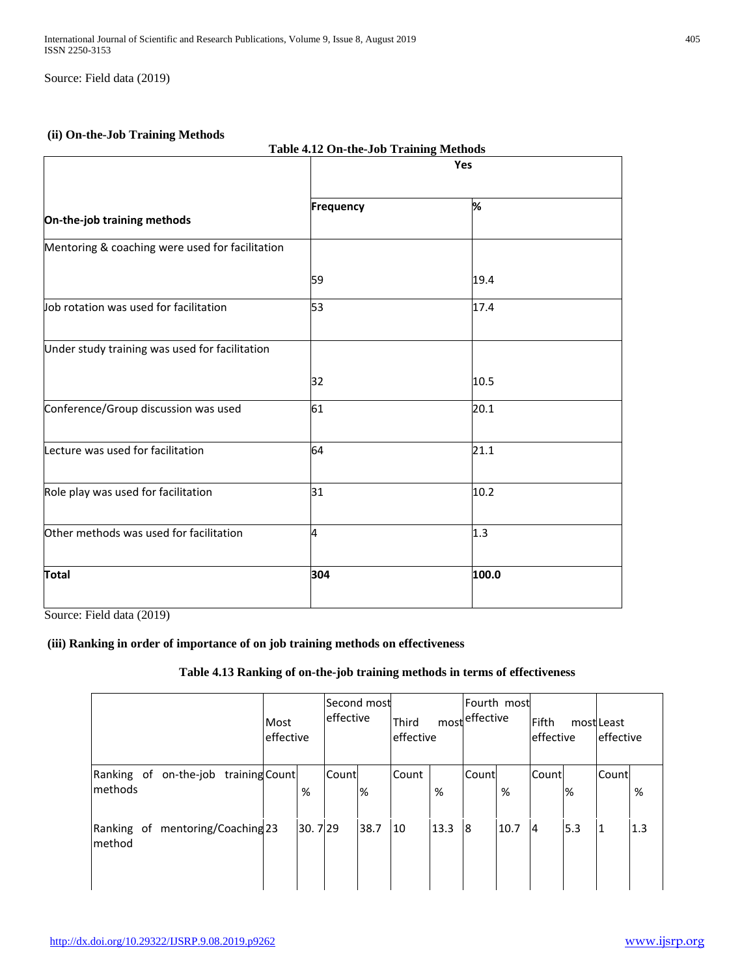Source: Field data (2019)

# **(ii) On-the-Job Training Methods**

|                                                 | Table 4.12 On-the-Job Training Methods |       |  |  |  |  |  |  |
|-------------------------------------------------|----------------------------------------|-------|--|--|--|--|--|--|
|                                                 |                                        | Yes   |  |  |  |  |  |  |
| On-the-job training methods                     | Frequency                              | %     |  |  |  |  |  |  |
| Mentoring & coaching were used for facilitation |                                        |       |  |  |  |  |  |  |
|                                                 | 59                                     | 19.4  |  |  |  |  |  |  |
| Job rotation was used for facilitation          | 53                                     | 17.4  |  |  |  |  |  |  |
| Under study training was used for facilitation  |                                        |       |  |  |  |  |  |  |
|                                                 | 32                                     | 10.5  |  |  |  |  |  |  |
| Conference/Group discussion was used            | 61                                     | 20.1  |  |  |  |  |  |  |
| Lecture was used for facilitation               | 64                                     | 21.1  |  |  |  |  |  |  |
| Role play was used for facilitation             | 31                                     | 10.2  |  |  |  |  |  |  |
| Other methods was used for facilitation         | 4                                      | 1.3   |  |  |  |  |  |  |
| <b>Total</b>                                    | 304                                    | 100.0 |  |  |  |  |  |  |

Source: Field data (2019)

# **(iii) Ranking in order of importance of on job training methods on effectiveness**

# **Table 4.13 Ranking of on-the-job training methods in terms of effectiveness**

|                                             |                           | Most<br>effective | Second most<br>effective |      | Third<br>leffective |      | Fourth most<br>mosteffective |      | Fifth<br>effective |     | mostLeast<br>leffective |      |
|---------------------------------------------|---------------------------|-------------------|--------------------------|------|---------------------|------|------------------------------|------|--------------------|-----|-------------------------|------|
| Ranking of<br><b>Imethods</b>               | on-the-job training Count | %                 | Count                    | %    | Count               | %    | Count                        | %    | Count              | %   | Count                   | $\%$ |
| Ranking of mentoring/Coaching 23<br>Imethod |                           | 30.729            |                          | 38.7 | 10                  | 13.3 | 18                           | 10.7 | $\overline{4}$     | 5.3 | 1                       | 1.3  |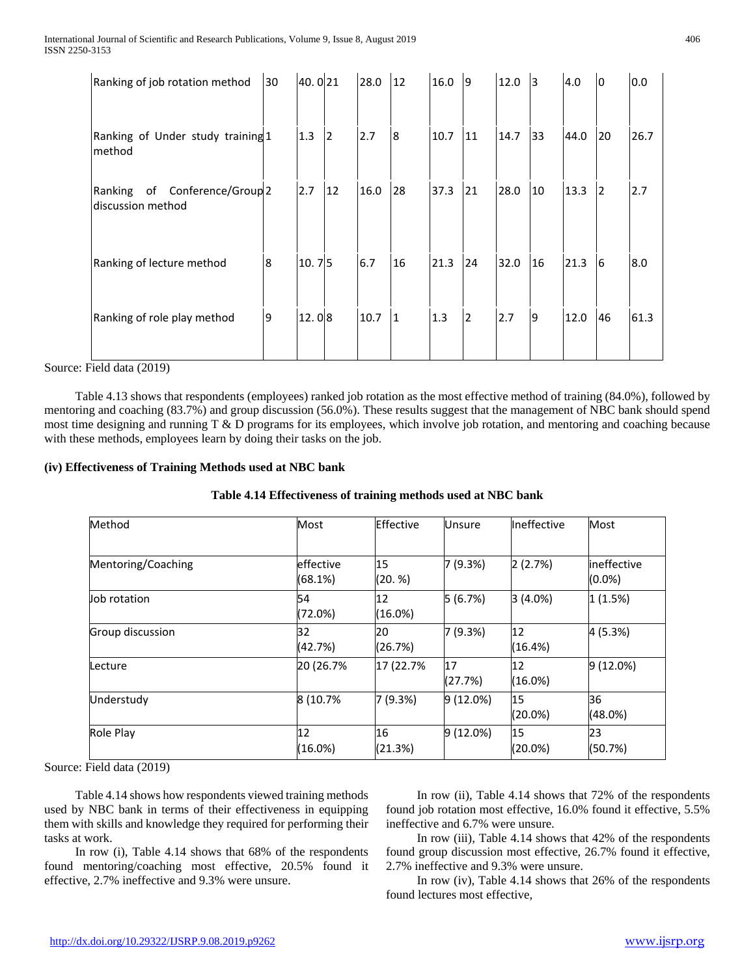| Ranking of job rotation method                                   | 30 | 40.021 |    | 28.0 | 12 | 16.0 | 19             | 12.0 | 13 | 4.0  | 10 | 0.0  |
|------------------------------------------------------------------|----|--------|----|------|----|------|----------------|------|----|------|----|------|
| Ranking of Under study training 1<br>method                      |    | 1.3    | 2  | 2.7  | 8  | 10.7 | 11             | 14.7 | 33 | 44.0 | 20 | 26.7 |
| of Conference/Group <sup>2</sup><br>Ranking<br>discussion method |    | 2.7    | 12 | 16.0 | 28 | 37.3 | 21             | 28.0 | 10 | 13.3 | 12 | 2.7  |
| Ranking of lecture method                                        | 8  | 10.75  |    | 6.7  | 16 | 21.3 | 24             | 32.0 | 16 | 21.3 | 16 | 8.0  |
| Ranking of role play method                                      | 9  | 12.08  |    | 10.7 | 11 | 1.3  | $\overline{2}$ | 2.7  | Ι9 | 12.0 | 46 | 61.3 |

Source: Field data (2019)

 Table 4.13 shows that respondents (employees) ranked job rotation as the most effective method of training (84.0%), followed by mentoring and coaching (83.7%) and group discussion (56.0%). These results suggest that the management of NBC bank should spend most time designing and running T & D programs for its employees, which involve job rotation, and mentoring and coaching because with these methods, employees learn by doing their tasks on the job.

# **(iv) Effectiveness of Training Methods used at NBC bank**

| Table 4.14 Effectiveness of training methods used at NBC bank |  |  |  |
|---------------------------------------------------------------|--|--|--|
|---------------------------------------------------------------|--|--|--|

| Method             | Most                 | Effective     | <b>Unsure</b> | Ineffective      | Most                             |
|--------------------|----------------------|---------------|---------------|------------------|----------------------------------|
| Mentoring/Coaching | effective<br>(68.1%) | 15<br>(20. %) | 7 (9.3%)      | 2(2.7%)          | <b>lineffective</b><br>$(0.0\%)$ |
| Job rotation       | 54<br>(72.0%)        | 12<br>(16.0%) | 5(6.7%)       | 3(4.0%)          | 1(1.5%)                          |
| Group discussion   | 32<br>(42.7%)        | 20<br>(26.7%) | 7 (9.3%)      | 12<br>(16.4%)    | 4 (5.3%)                         |
| .ecture            | 20 (26.7%            | 17 (22.7%     | 17<br>(27.7%) | 12<br>(16.0%)    | 9 (12.0%)                        |
| Understudy         | 8 (10.7%             | 7(9.3%)       | $9(12.0\%)$   | 15<br>$(20.0\%)$ | 36<br>(48.0%)                    |
| Role Play          | 12<br>$(16.0\%)$     | 16<br>(21.3%) | $9(12.0\%)$   | 15<br>$(20.0\%)$ | 23<br>(50.7%)                    |

Source: Field data (2019)

 Table 4.14 shows how respondents viewed training methods used by NBC bank in terms of their effectiveness in equipping them with skills and knowledge they required for performing their tasks at work.

 In row (i), Table 4.14 shows that 68% of the respondents found mentoring/coaching most effective, 20.5% found it effective, 2.7% ineffective and 9.3% were unsure.

 In row (ii), Table 4.14 shows that 72% of the respondents found job rotation most effective, 16.0% found it effective, 5.5% ineffective and 6.7% were unsure.

 In row (iii), Table 4.14 shows that 42% of the respondents found group discussion most effective, 26.7% found it effective, 2.7% ineffective and 9.3% were unsure.

 In row (iv), Table 4.14 shows that 26% of the respondents found lectures most effective,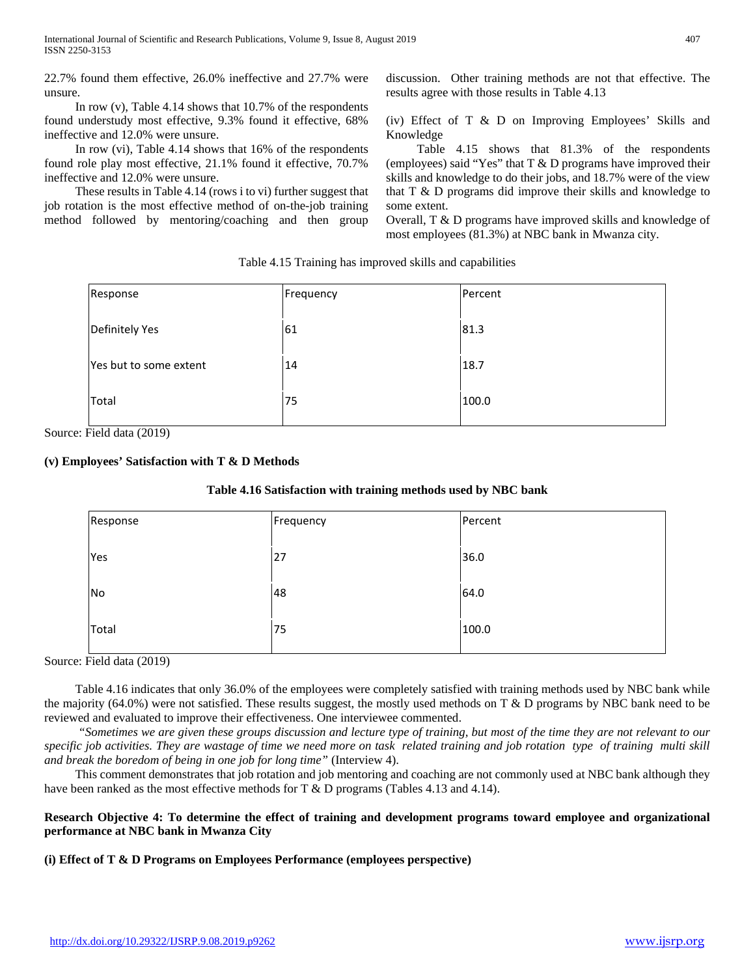22.7% found them effective, 26.0% ineffective and 27.7% were unsure.

 In row (v), Table 4.14 shows that 10.7% of the respondents found understudy most effective, 9.3% found it effective, 68% ineffective and 12.0% were unsure.

 In row (vi), Table 4.14 shows that 16% of the respondents found role play most effective, 21.1% found it effective, 70.7% ineffective and 12.0% were unsure.

 These results in Table 4.14 (rows i to vi) further suggest that job rotation is the most effective method of on-the-job training method followed by mentoring/coaching and then group discussion. Other training methods are not that effective. The results agree with those results in Table 4.13

(iv) Effect of T & D on Improving Employees' Skills and Knowledge

 Table 4.15 shows that 81.3% of the respondents (employees) said "Yes" that  $T & D$  programs have improved their skills and knowledge to do their jobs, and 18.7% were of the view that T & D programs did improve their skills and knowledge to some extent.

Overall, T & D programs have improved skills and knowledge of most employees (81.3%) at NBC bank in Mwanza city.

Table 4.15 Training has improved skills and capabilities

| Response               | Frequency | Percent |
|------------------------|-----------|---------|
| Definitely Yes         | 61        | 81.3    |
| Yes but to some extent | 14        | 18.7    |
| Total                  | 75        | 100.0   |

Source: Field data (2019)

# **(v) Employees' Satisfaction with T & D Methods**

#### **Table 4.16 Satisfaction with training methods used by NBC bank**

| Response | Frequency | Percent |
|----------|-----------|---------|
| Yes      | 27        | 36.0    |
| No       | 48        | 64.0    |
| Total    | 75        | 100.0   |

Source: Field data (2019)

 Table 4.16 indicates that only 36.0% of the employees were completely satisfied with training methods used by NBC bank while the majority (64.0%) were not satisfied. These results suggest, the mostly used methods on T & D programs by NBC bank need to be reviewed and evaluated to improve their effectiveness. One interviewee commented.

 *"Sometimes we are given these groups discussion and lecture type of training, but most of the time they are not relevant to our specific job activities. They are wastage of time we need more on task related training and job rotation type of training multi skill and break the boredom of being in one job for long time"* (Interview 4).

 This comment demonstrates that job rotation and job mentoring and coaching are not commonly used at NBC bank although they have been ranked as the most effective methods for T & D programs (Tables 4.13 and 4.14).

# **Research Objective 4: To determine the effect of training and development programs toward employee and organizational performance at NBC bank in Mwanza City**

**(i) Effect of T & D Programs on Employees Performance (employees perspective)**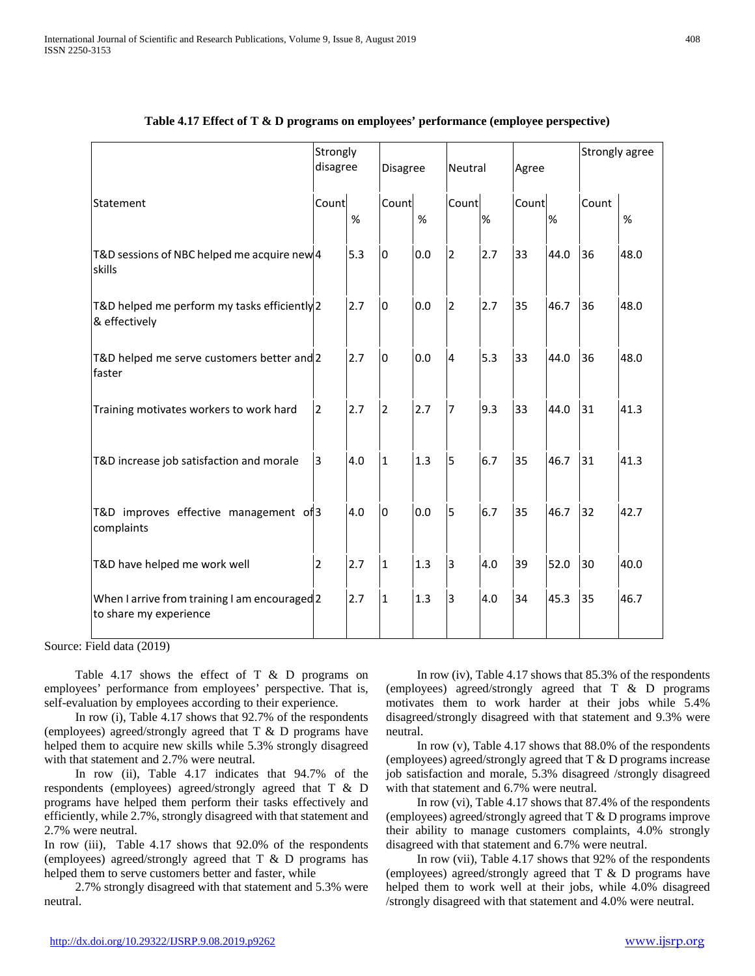|                                                                         | Strongly<br>disagree |      | <b>Disagree</b> |      | Neutral                 |      | Agree |      | Strongly agree |      |
|-------------------------------------------------------------------------|----------------------|------|-----------------|------|-------------------------|------|-------|------|----------------|------|
| Statement                                                               | Count                | $\%$ | Count           | $\%$ | Count                   | $\%$ | Count | %    | Count          | %    |
| T&D sessions of NBC helped me acquire new 4<br>skills                   |                      | 5.3  | <sup>o</sup>    | 0.0  | $\overline{2}$          | 2.7  | 33    | 44.0 | 36             | 48.0 |
| T&D helped me perform my tasks efficiently 2<br>& effectively           |                      | 2.7  | l0              | 0.0  | $\overline{2}$          | 2.7  | 35    | 46.7 | 36             | 48.0 |
| T&D helped me serve customers better and 2<br>faster                    |                      | 2.7  | l0              | 0.0  | $\overline{\mathbf{4}}$ | 5.3  | 33    | 44.0 | 36             | 48.0 |
| Training motivates workers to work hard                                 | $\overline{2}$       | 2.7  | $\overline{2}$  | 2.7  | $\overline{7}$          | 9.3  | 33    | 44.0 | 31             | 41.3 |
| T&D increase job satisfaction and morale                                | 3                    | 4.0  | $\mathbf{1}$    | 1.3  | 5                       | 6.7  | 35    | 46.7 | 31             | 41.3 |
| T&D improves effective management of 3<br>complaints                    |                      | 4.0  | l0              | 0.0  | $\overline{5}$          | 6.7  | 35    | 46.7 | 32             | 42.7 |
| T&D have helped me work well                                            | $\overline{2}$       | 2.7  | $\mathbf{1}$    | 1.3  | 3                       | 4.0  | 39    | 52.0 | 30             | 40.0 |
| When I arrive from training I am encouraged 2<br>to share my experience |                      | 2.7  | 1               | 1.3  | 3                       | 4.0  | 34    | 45.3 | 35             | 46.7 |

| Table 4.17 Effect of T & D programs on employees' performance (employee perspective) |  |  |
|--------------------------------------------------------------------------------------|--|--|
|--------------------------------------------------------------------------------------|--|--|

Source: Field data (2019)

Table 4.17 shows the effect of  $T \& D$  programs on employees' performance from employees' perspective. That is, self-evaluation by employees according to their experience.

 In row (i), Table 4.17 shows that 92.7% of the respondents (employees) agreed/strongly agreed that T & D programs have helped them to acquire new skills while 5.3% strongly disagreed with that statement and 2.7% were neutral.

 In row (ii), Table 4.17 indicates that 94.7% of the respondents (employees) agreed/strongly agreed that T & D programs have helped them perform their tasks effectively and efficiently, while 2.7%, strongly disagreed with that statement and 2.7% were neutral.

In row (iii), Table 4.17 shows that 92.0% of the respondents (employees) agreed/strongly agreed that T & D programs has helped them to serve customers better and faster, while

 2.7% strongly disagreed with that statement and 5.3% were neutral.

 In row (iv), Table 4.17 shows that 85.3% of the respondents (employees) agreed/strongly agreed that T & D programs motivates them to work harder at their jobs while 5.4% disagreed/strongly disagreed with that statement and 9.3% were neutral.

 In row (v), Table 4.17 shows that 88.0% of the respondents (employees) agreed/strongly agreed that T & D programs increase job satisfaction and morale, 5.3% disagreed /strongly disagreed with that statement and 6.7% were neutral.

 In row (vi), Table 4.17 shows that 87.4% of the respondents (employees) agreed/strongly agreed that T & D programs improve their ability to manage customers complaints, 4.0% strongly disagreed with that statement and 6.7% were neutral.

 In row (vii), Table 4.17 shows that 92% of the respondents (employees) agreed/strongly agreed that T & D programs have helped them to work well at their jobs, while 4.0% disagreed /strongly disagreed with that statement and 4.0% were neutral.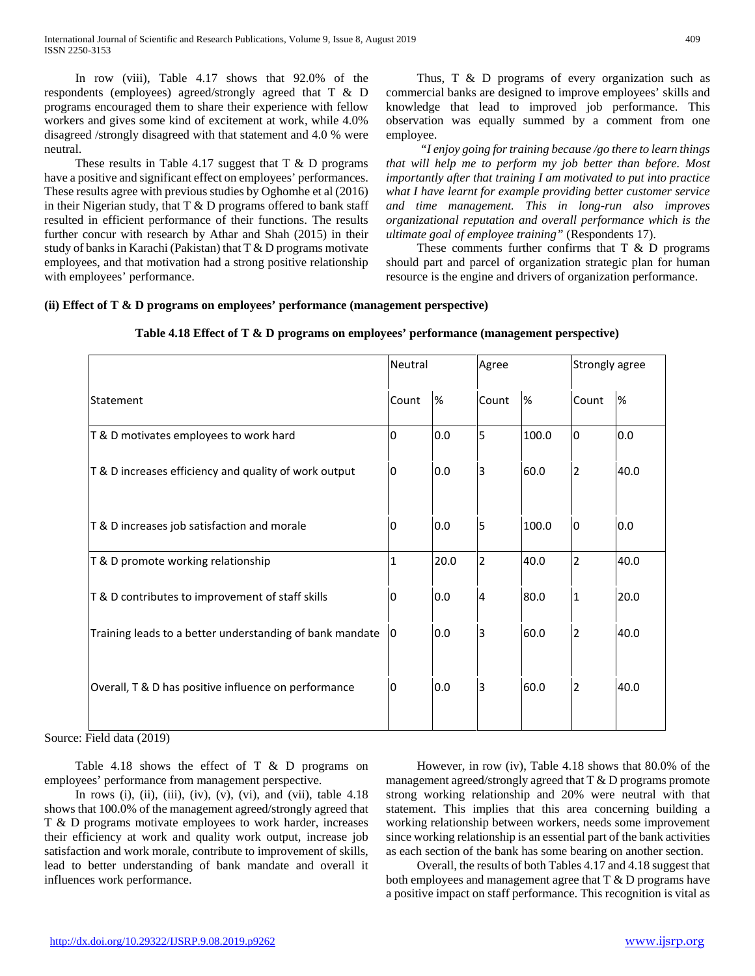In row (viii), Table 4.17 shows that 92.0% of the respondents (employees) agreed/strongly agreed that T & D programs encouraged them to share their experience with fellow workers and gives some kind of excitement at work, while 4.0% disagreed /strongly disagreed with that statement and 4.0 % were neutral.

These results in Table 4.17 suggest that  $T \& D$  programs have a positive and significant effect on employees' performances. These results agree with previous studies by Oghomhe et al (2016) in their Nigerian study, that  $T & D$  programs offered to bank staff resulted in efficient performance of their functions. The results further concur with research by Athar and Shah (2015) in their study of banks in Karachi (Pakistan) that T & D programs motivate employees, and that motivation had a strong positive relationship with employees' performance.

Thus, T & D programs of every organization such as commercial banks are designed to improve employees' skills and knowledge that lead to improved job performance. This observation was equally summed by a comment from one employee.

 *"I enjoy going for training because /go there to learn things that will help me to perform my job better than before. Most importantly after that training I am motivated to put into practice what I have learnt for example providing better customer service and time management. This in long-run also improves organizational reputation and overall performance which is the ultimate goal of employee training"* (Respondents 17).

These comments further confirms that  $T \& D$  programs should part and parcel of organization strategic plan for human resource is the engine and drivers of organization performance.

# **(ii) Effect of T & D programs on employees' performance (management perspective)**

|                                                          | Neutral      |      | Agree          |       | Strongly agree |      |
|----------------------------------------------------------|--------------|------|----------------|-------|----------------|------|
| Statement                                                | Count        | %    | Count          | %     | Count          | %    |
| T & D motivates employees to work hard                   | 0            | 0.0  | 5              | 100.0 | 0              | 0.0  |
| T & D increases efficiency and quality of work output    | 0            | 0.0  | 3              | 60.0  | $\overline{2}$ | 40.0 |
| T & D increases job satisfaction and morale              | 0            | 0.0  | 5              | 100.0 | 0              | 0.0  |
| T & D promote working relationship                       | $\mathbf{1}$ | 20.0 | $\overline{2}$ | 40.0  | $\overline{2}$ | 40.0 |
| T & D contributes to improvement of staff skills         | 0            | 0.0  | 4              | 80.0  | $\vert$ 1      | 20.0 |
| Training leads to a better understanding of bank mandate | 10           | 0.0  | 3              | 60.0  | 2              | 40.0 |
| Overall, T & D has positive influence on performance     | 10           | 0.0  | 3              | 60.0  | $\overline{2}$ | 40.0 |

**Table 4.18 Effect of T & D programs on employees' performance (management perspective)**

Source: Field data (2019)

 Table 4.18 shows the effect of T & D programs on employees' performance from management perspective.

In rows (i), (ii), (iii), (iv), (v), (vi), and (vii), table  $4.18$ shows that 100.0% of the management agreed/strongly agreed that T & D programs motivate employees to work harder, increases their efficiency at work and quality work output, increase job satisfaction and work morale, contribute to improvement of skills, lead to better understanding of bank mandate and overall it influences work performance.

 However, in row (iv), Table 4.18 shows that 80.0% of the management agreed/strongly agreed that T & D programs promote strong working relationship and 20% were neutral with that statement. This implies that this area concerning building a working relationship between workers, needs some improvement since working relationship is an essential part of the bank activities as each section of the bank has some bearing on another section.

 Overall, the results of both Tables 4.17 and 4.18 suggest that both employees and management agree that T & D programs have a positive impact on staff performance. This recognition is vital as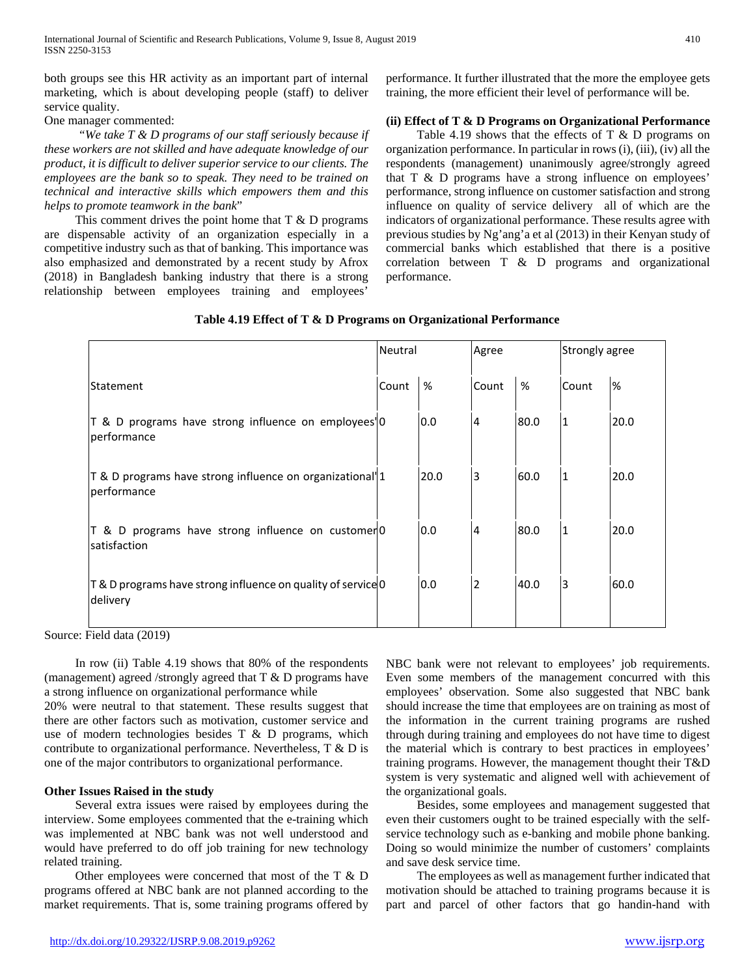both groups see this HR activity as an important part of internal marketing, which is about developing people (staff) to deliver service quality.

One manager commented:

 *"We take T & D programs of our staff seriously because if these workers are not skilled and have adequate knowledge of our product, it is difficult to deliver superior service to our clients. The employees are the bank so to speak. They need to be trained on technical and interactive skills which empowers them and this helps to promote teamwork in the bank*"

This comment drives the point home that  $T \& D$  programs are dispensable activity of an organization especially in a competitive industry such as that of banking. This importance was also emphasized and demonstrated by a recent study by Afrox (2018) in Bangladesh banking industry that there is a strong relationship between employees training and employees'

performance. It further illustrated that the more the employee gets training, the more efficient their level of performance will be.

# **(ii) Effect of T & D Programs on Organizational Performance**

Table 4.19 shows that the effects of  $T \& D$  programs on organization performance. In particular in rows (i), (iii), (iv) all the respondents (management) unanimously agree/strongly agreed that T & D programs have a strong influence on employees' performance, strong influence on customer satisfaction and strong influence on quality of service delivery all of which are the indicators of organizational performance. These results agree with previous studies by Ng'ang'a et al (2013) in their Kenyan study of commercial banks which established that there is a positive correlation between T & D programs and organizational performance.

|                                                                                       | Neutral |      | Agree          |      | Strongly agree |      |
|---------------------------------------------------------------------------------------|---------|------|----------------|------|----------------|------|
| lStatement                                                                            | Count   | %    | Count          | %    | Count          | %    |
| T & D programs have strong influence on employees' 0<br>performance                   |         | 0.0  | 4              | 80.0 | 1              | 20.0 |
| T & D programs have strong influence on organizational <sup>'</sup>  1<br>performance |         | 20.0 | 3              | 60.0 | 1              | 20.0 |
| T & D programs have strong influence on customer0<br>satisfaction                     |         | 0.0  | $\overline{4}$ | 80.0 | 1              | 20.0 |
| T & D programs have strong influence on quality of service 0<br>delivery              |         | 0.0  | $\overline{2}$ | 40.0 | 3              | 60.0 |

Source: Field data (2019)

 In row (ii) Table 4.19 shows that 80% of the respondents (management) agreed /strongly agreed that T & D programs have a strong influence on organizational performance while

20% were neutral to that statement. These results suggest that there are other factors such as motivation, customer service and use of modern technologies besides T & D programs, which contribute to organizational performance. Nevertheless, T & D is one of the major contributors to organizational performance.

#### **Other Issues Raised in the study**

 Several extra issues were raised by employees during the interview. Some employees commented that the e-training which was implemented at NBC bank was not well understood and would have preferred to do off job training for new technology related training.

 Other employees were concerned that most of the T & D programs offered at NBC bank are not planned according to the market requirements. That is, some training programs offered by

NBC bank were not relevant to employees' job requirements. Even some members of the management concurred with this employees' observation. Some also suggested that NBC bank should increase the time that employees are on training as most of the information in the current training programs are rushed through during training and employees do not have time to digest the material which is contrary to best practices in employees' training programs. However, the management thought their T&D system is very systematic and aligned well with achievement of the organizational goals.

 Besides, some employees and management suggested that even their customers ought to be trained especially with the selfservice technology such as e-banking and mobile phone banking. Doing so would minimize the number of customers' complaints and save desk service time.

 The employees as well as management further indicated that motivation should be attached to training programs because it is part and parcel of other factors that go handin-hand with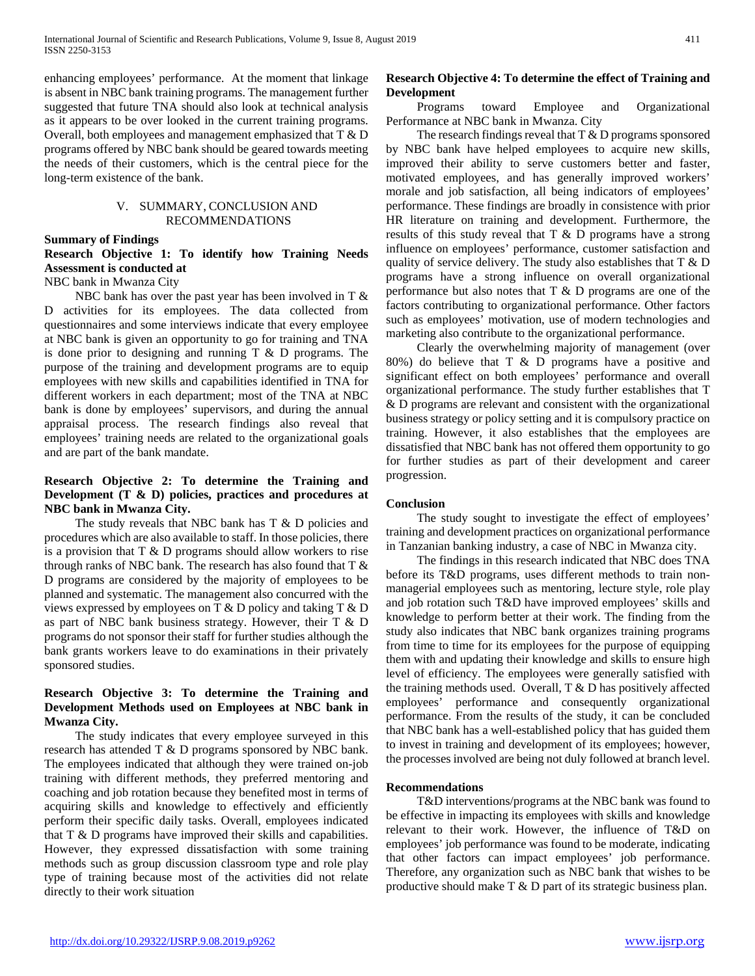enhancing employees' performance. At the moment that linkage is absent in NBC bank training programs. The management further suggested that future TNA should also look at technical analysis as it appears to be over looked in the current training programs. Overall, both employees and management emphasized that T & D programs offered by NBC bank should be geared towards meeting the needs of their customers, which is the central piece for the long-term existence of the bank.

#### V. SUMMARY, CONCLUSION AND RECOMMENDATIONS

#### **Summary of Findings**

# **Research Objective 1: To identify how Training Needs Assessment is conducted at**

#### NBC bank in Mwanza City

NBC bank has over the past year has been involved in  $T \&$ D activities for its employees. The data collected from questionnaires and some interviews indicate that every employee at NBC bank is given an opportunity to go for training and TNA is done prior to designing and running T & D programs. The purpose of the training and development programs are to equip employees with new skills and capabilities identified in TNA for different workers in each department; most of the TNA at NBC bank is done by employees' supervisors, and during the annual appraisal process. The research findings also reveal that employees' training needs are related to the organizational goals and are part of the bank mandate.

# **Research Objective 2: To determine the Training and Development (T & D) policies, practices and procedures at NBC bank in Mwanza City.**

The study reveals that NBC bank has T & D policies and procedures which are also available to staff. In those policies, there is a provision that  $T \& D$  programs should allow workers to rise through ranks of NBC bank. The research has also found that T & D programs are considered by the majority of employees to be planned and systematic. The management also concurred with the views expressed by employees on T & D policy and taking T & D as part of NBC bank business strategy. However, their T & D programs do not sponsor their staff for further studies although the bank grants workers leave to do examinations in their privately sponsored studies.

# **Research Objective 3: To determine the Training and Development Methods used on Employees at NBC bank in Mwanza City.**

 The study indicates that every employee surveyed in this research has attended T & D programs sponsored by NBC bank. The employees indicated that although they were trained on-job training with different methods, they preferred mentoring and coaching and job rotation because they benefited most in terms of acquiring skills and knowledge to effectively and efficiently perform their specific daily tasks. Overall, employees indicated that T & D programs have improved their skills and capabilities. However, they expressed dissatisfaction with some training methods such as group discussion classroom type and role play type of training because most of the activities did not relate directly to their work situation

# **Research Objective 4: To determine the effect of Training and Development**

 Programs toward Employee and Organizational Performance at NBC bank in Mwanza. City

The research findings reveal that T & D programs sponsored by NBC bank have helped employees to acquire new skills, improved their ability to serve customers better and faster, motivated employees, and has generally improved workers' morale and job satisfaction, all being indicators of employees' performance. These findings are broadly in consistence with prior HR literature on training and development. Furthermore, the results of this study reveal that T & D programs have a strong influence on employees' performance, customer satisfaction and quality of service delivery. The study also establishes that  $T \& D$ programs have a strong influence on overall organizational performance but also notes that T & D programs are one of the factors contributing to organizational performance. Other factors such as employees' motivation, use of modern technologies and marketing also contribute to the organizational performance.

 Clearly the overwhelming majority of management (over 80%) do believe that T & D programs have a positive and significant effect on both employees' performance and overall organizational performance. The study further establishes that T & D programs are relevant and consistent with the organizational business strategy or policy setting and it is compulsory practice on training. However, it also establishes that the employees are dissatisfied that NBC bank has not offered them opportunity to go for further studies as part of their development and career progression.

#### **Conclusion**

 The study sought to investigate the effect of employees' training and development practices on organizational performance in Tanzanian banking industry, a case of NBC in Mwanza city.

 The findings in this research indicated that NBC does TNA before its T&D programs, uses different methods to train nonmanagerial employees such as mentoring, lecture style, role play and job rotation such T&D have improved employees' skills and knowledge to perform better at their work. The finding from the study also indicates that NBC bank organizes training programs from time to time for its employees for the purpose of equipping them with and updating their knowledge and skills to ensure high level of efficiency. The employees were generally satisfied with the training methods used. Overall, T & D has positively affected employees' performance and consequently organizational performance. From the results of the study, it can be concluded that NBC bank has a well-established policy that has guided them to invest in training and development of its employees; however, the processes involved are being not duly followed at branch level.

#### **Recommendations**

 T&D interventions/programs at the NBC bank was found to be effective in impacting its employees with skills and knowledge relevant to their work. However, the influence of T&D on employees' job performance was found to be moderate, indicating that other factors can impact employees' job performance. Therefore, any organization such as NBC bank that wishes to be productive should make T & D part of its strategic business plan.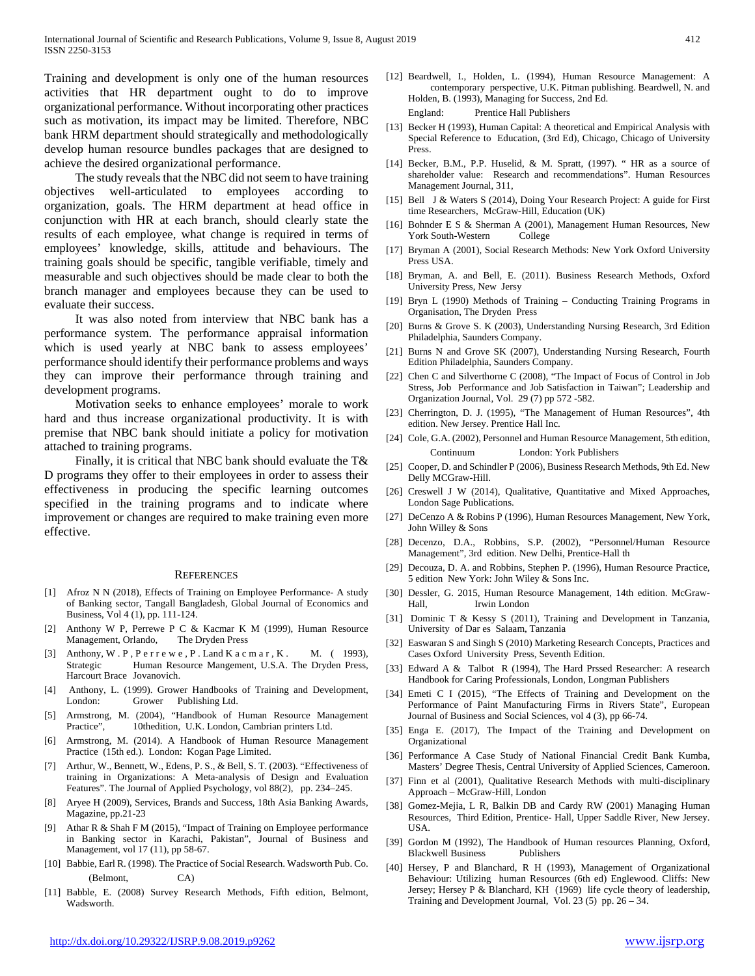Training and development is only one of the human resources activities that HR department ought to do to improve organizational performance. Without incorporating other practices such as motivation, its impact may be limited. Therefore, NBC bank HRM department should strategically and methodologically develop human resource bundles packages that are designed to achieve the desired organizational performance.

 The study reveals that the NBC did not seem to have training objectives well-articulated to employees according to organization, goals. The HRM department at head office in conjunction with HR at each branch, should clearly state the results of each employee, what change is required in terms of employees' knowledge, skills, attitude and behaviours. The training goals should be specific, tangible verifiable, timely and measurable and such objectives should be made clear to both the branch manager and employees because they can be used to evaluate their success.

 It was also noted from interview that NBC bank has a performance system. The performance appraisal information which is used yearly at NBC bank to assess employees' performance should identify their performance problems and ways they can improve their performance through training and development programs.

 Motivation seeks to enhance employees' morale to work hard and thus increase organizational productivity. It is with premise that NBC bank should initiate a policy for motivation attached to training programs.

 Finally, it is critical that NBC bank should evaluate the T& D programs they offer to their employees in order to assess their effectiveness in producing the specific learning outcomes specified in the training programs and to indicate where improvement or changes are required to make training even more effective.

#### **REFERENCES**

- [1] Afroz N N (2018), Effects of Training on Employee Performance- A study of Banking sector, Tangall Bangladesh, Global Journal of Economics and Business, Vol 4 (1), pp. 111-124.
- [2] Anthony W P, Perrewe P C & Kacmar K M (1999), Human Resource Management, Orlando, The Dryden Press
- [3] Anthony, W.P, P e r r e w e, P. Land K a c m a r, K. M. (1993), Strategic Human Resource Mangement, U.S.A. The Dryden Press, Harcourt Brace Jovanovich.
- [4] Anthony, L. (1999). Grower Handbooks of Training and Development, London: Grower Publishing Ltd.
- [5] Armstrong, M. (2004), "Handbook of Human Resource Management Practice", 10thedition, U.K. London, Cambrian printers Ltd.
- [6] Armstrong, M. (2014). A Handbook of Human Resource Management Practice (15th ed.). London: Kogan Page Limited.
- [7] Arthur, W., Bennett, W., Edens, P. S., & Bell, S. T. (2003). "Effectiveness of training in Organizations: A Meta-analysis of Design and Evaluation Features". The Journal of Applied Psychology, vol 88(2), pp. 234–245.
- [8] Aryee H (2009), Services, Brands and Success, 18th Asia Banking Awards, Magazine, pp.21-23
- [9] Athar R & Shah F M (2015), "Impact of Training on Employee performance in Banking sector in Karachi, Pakistan", Journal of Business and Management, vol 17 (11), pp 58-67.
- [10] Babbie, Earl R. (1998). The Practice of Social Research. Wadsworth Pub. Co. (Belmont, CA)
- [11] Babble, E. (2008) Survey Research Methods, Fifth edition, Belmont, Wadsworth.
- [12] Beardwell, I., Holden, L. (1994), Human Resource Management: A contemporary perspective, U.K. Pitman publishing. Beardwell, N. and Holden, B. (1993), Managing for Success, 2nd Ed. England: Prentice Hall Publishers
- [13] Becker H (1993), Human Capital: A theoretical and Empirical Analysis with Special Reference to Education, (3rd Ed), Chicago, Chicago of University Press.
- [14] Becker, B.M., P.P. Huselid, & M. Spratt, (1997). " HR as a source of shareholder value: Research and recommendations". Human Resources Management Journal, 311,
- [15] Bell J & Waters S (2014), Doing Your Research Project: A guide for First time Researchers, McGraw-Hill, Education (UK)
- [16] Bohnder E S & Sherman A (2001), Management Human Resources, New York South-Western College
- [17] Bryman A (2001), Social Research Methods: New York Oxford University Press USA.
- [18] Bryman, A. and Bell, E. (2011). Business Research Methods, Oxford University Press, New Jersy
- [19] Bryn L (1990) Methods of Training Conducting Training Programs in Organisation, The Dryden Press
- [20] Burns & Grove S. K (2003), Understanding Nursing Research, 3rd Edition Philadelphia, Saunders Company.
- [21] Burns N and Grove SK (2007), Understanding Nursing Research, Fourth Edition Philadelphia, Saunders Company.
- [22] Chen C and Silverthorne C (2008), "The Impact of Focus of Control in Job Stress, Job Performance and Job Satisfaction in Taiwan"; Leadership and Organization Journal, Vol. 29 (7) pp 572 -582.
- [23] Cherrington, D. J. (1995), "The Management of Human Resources", 4th edition. New Jersey. Prentice Hall Inc.
- [24] Cole, G.A. (2002), Personnel and Human Resource Management, 5th edition, Continuum London: York Publishers
- [25] Cooper, D. and Schindler P (2006), Business Research Methods, 9th Ed. New Delly MCGraw-Hill.
- [26] Creswell J W (2014), Qualitative, Quantitative and Mixed Approaches, London Sage Publications.
- [27] DeCenzo A & Robins P (1996), Human Resources Management, New York, John Willey & Sons
- [28] Decenzo, D.A., Robbins, S.P. (2002), "Personnel/Human Resource Management", 3rd edition. New Delhi, Prentice-Hall th
- [29] Decouza, D. A. and Robbins, Stephen P. (1996), Human Resource Practice, 5 edition New York: John Wiley & Sons Inc.
- [30] Dessler, G. 2015, Human Resource Management, 14th edition. McGraw-Hall, Irwin London
- [31] Dominic T & Kessy S (2011), Training and Development in Tanzania, University of Dar es Salaam, Tanzania
- [32] Easwaran S and Singh S (2010) Marketing Research Concepts, Practices and Cases Oxford University Press, Seventh Edition.
- [33] Edward A & Talbot R (1994), The Hard Prssed Researcher: A research Handbook for Caring Professionals, London, Longman Publishers
- [34] Emeti C I (2015), "The Effects of Training and Development on the Performance of Paint Manufacturing Firms in Rivers State", European Journal of Business and Social Sciences, vol 4 (3), pp 66-74.
- [35] Enga E. (2017), The Impact of the Training and Development on Organizational
- [36] Performance A Case Study of National Financial Credit Bank Kumba, Masters' Degree Thesis, Central University of Applied Sciences, Cameroon.
- [37] Finn et al (2001), Qualitative Research Methods with multi-disciplinary Approach – McGraw-Hill, London
- [38] Gomez-Mejia, L R, Balkin DB and Cardy RW (2001) Managing Human Resources, Third Edition, Prentice- Hall, Upper Saddle River, New Jersey. USA.
- [39] Gordon M (1992), The Handbook of Human resources Planning, Oxford, Blackwell Business Publishers
- [40] Hersey, P and Blanchard, R H (1993), Management of Organizational Behaviour: Utilizing human Resources (6th ed) Englewood. Cliffs: New Jersey; Hersey P & Blanchard, KH (1969) life cycle theory of leadership, Training and Development Journal, Vol. 23 (5) pp. 26 – 34.